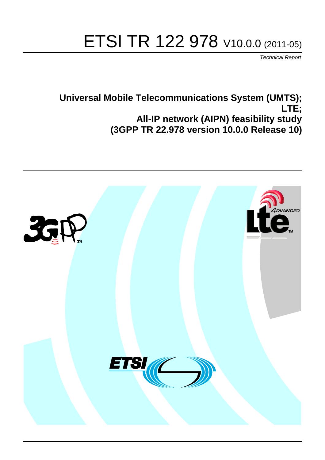# ETSI TR 122 978 V10.0.0 (2011-05)

*Technical Report*

## **Universal Mobile Telecommunications System (UMTS); LTE; All-IP network (AIPN) feasibility study (3GPP TR 22.978 version 10.0.0 Release 10)**

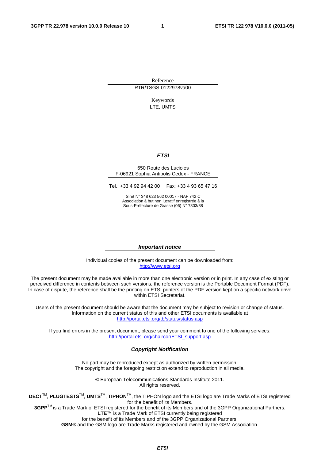Reference RTR/TSGS-0122978va00

> Keywords LTE, UMTS

### *ETSI*

#### 650 Route des Lucioles F-06921 Sophia Antipolis Cedex - FRANCE

Tel.: +33 4 92 94 42 00 Fax: +33 4 93 65 47 16

Siret N° 348 623 562 00017 - NAF 742 C Association à but non lucratif enregistrée à la Sous-Préfecture de Grasse (06) N° 7803/88

#### *Important notice*

Individual copies of the present document can be downloaded from: [http://www.etsi.org](http://www.etsi.org/)

The present document may be made available in more than one electronic version or in print. In any case of existing or perceived difference in contents between such versions, the reference version is the Portable Document Format (PDF). In case of dispute, the reference shall be the printing on ETSI printers of the PDF version kept on a specific network drive within ETSI Secretariat.

Users of the present document should be aware that the document may be subject to revision or change of status. Information on the current status of this and other ETSI documents is available at <http://portal.etsi.org/tb/status/status.asp>

If you find errors in the present document, please send your comment to one of the following services: [http://portal.etsi.org/chaircor/ETSI\\_support.asp](http://portal.etsi.org/chaircor/ETSI_support.asp)

#### *Copyright Notification*

No part may be reproduced except as authorized by written permission. The copyright and the foregoing restriction extend to reproduction in all media.

> © European Telecommunications Standards Institute 2011. All rights reserved.

**DECT**TM, **PLUGTESTS**TM, **UMTS**TM, **TIPHON**TM, the TIPHON logo and the ETSI logo are Trade Marks of ETSI registered for the benefit of its Members.

**3GPP**TM is a Trade Mark of ETSI registered for the benefit of its Members and of the 3GPP Organizational Partners. **LTE**™ is a Trade Mark of ETSI currently being registered

for the benefit of its Members and of the 3GPP Organizational Partners.

**GSM**® and the GSM logo are Trade Marks registered and owned by the GSM Association.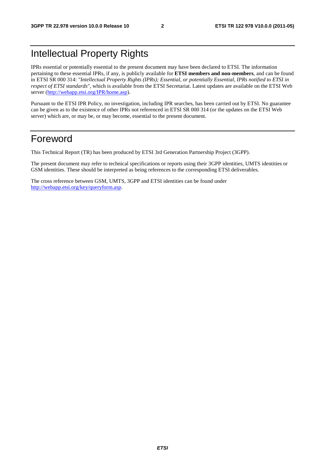## Intellectual Property Rights

IPRs essential or potentially essential to the present document may have been declared to ETSI. The information pertaining to these essential IPRs, if any, is publicly available for **ETSI members and non-members**, and can be found in ETSI SR 000 314: *"Intellectual Property Rights (IPRs); Essential, or potentially Essential, IPRs notified to ETSI in respect of ETSI standards"*, which is available from the ETSI Secretariat. Latest updates are available on the ETSI Web server ([http://webapp.etsi.org/IPR/home.asp\)](http://webapp.etsi.org/IPR/home.asp).

Pursuant to the ETSI IPR Policy, no investigation, including IPR searches, has been carried out by ETSI. No guarantee can be given as to the existence of other IPRs not referenced in ETSI SR 000 314 (or the updates on the ETSI Web server) which are, or may be, or may become, essential to the present document.

## Foreword

This Technical Report (TR) has been produced by ETSI 3rd Generation Partnership Project (3GPP).

The present document may refer to technical specifications or reports using their 3GPP identities, UMTS identities or GSM identities. These should be interpreted as being references to the corresponding ETSI deliverables.

The cross reference between GSM, UMTS, 3GPP and ETSI identities can be found under [http://webapp.etsi.org/key/queryform.asp.](http://webapp.etsi.org/key/queryform.asp)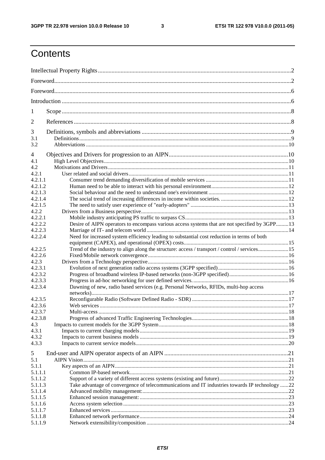$\mathbf{3}$ 

## Contents

| 1                  |                                                                                                |  |  |  |  |  |  |  |  |
|--------------------|------------------------------------------------------------------------------------------------|--|--|--|--|--|--|--|--|
| 2                  |                                                                                                |  |  |  |  |  |  |  |  |
| 3                  |                                                                                                |  |  |  |  |  |  |  |  |
| 3.1                |                                                                                                |  |  |  |  |  |  |  |  |
| 3.2                |                                                                                                |  |  |  |  |  |  |  |  |
| 4                  |                                                                                                |  |  |  |  |  |  |  |  |
| 4.1                |                                                                                                |  |  |  |  |  |  |  |  |
| 4.2                |                                                                                                |  |  |  |  |  |  |  |  |
| 4.2.1              |                                                                                                |  |  |  |  |  |  |  |  |
| 4.2.1.1            |                                                                                                |  |  |  |  |  |  |  |  |
| 4.2.1.2            |                                                                                                |  |  |  |  |  |  |  |  |
| 4.2.1.3            |                                                                                                |  |  |  |  |  |  |  |  |
| 4.2.1.4            |                                                                                                |  |  |  |  |  |  |  |  |
| 4.2.1.5            |                                                                                                |  |  |  |  |  |  |  |  |
| 4.2.2              |                                                                                                |  |  |  |  |  |  |  |  |
| 4.2.2.1            |                                                                                                |  |  |  |  |  |  |  |  |
| 4.2.2.2<br>4.2.2.3 | Desire of AIPN operators to encompass various access systems that are not specified by 3GPP13  |  |  |  |  |  |  |  |  |
|                    |                                                                                                |  |  |  |  |  |  |  |  |
| 4.2.2.4            | Need for increased system efficiency leading to substantial cost reduction in terms of both    |  |  |  |  |  |  |  |  |
| 4.2.2.5            | Trend of the industry to align along the structure: access / transport / control / services15  |  |  |  |  |  |  |  |  |
| 4.2.2.6            |                                                                                                |  |  |  |  |  |  |  |  |
| 4.2.3              |                                                                                                |  |  |  |  |  |  |  |  |
| 4.2.3.1            |                                                                                                |  |  |  |  |  |  |  |  |
| 4.2.3.2            |                                                                                                |  |  |  |  |  |  |  |  |
| 4.2.3.3            |                                                                                                |  |  |  |  |  |  |  |  |
| 4.2.3.4            | Dawning of new, radio based services (e.g. Personal Networks, RFIDs, multi-hop access          |  |  |  |  |  |  |  |  |
| 4.2.3.5            |                                                                                                |  |  |  |  |  |  |  |  |
| 4.2.3.6            |                                                                                                |  |  |  |  |  |  |  |  |
| 4.2.3.7            |                                                                                                |  |  |  |  |  |  |  |  |
| 4.2.3.8            |                                                                                                |  |  |  |  |  |  |  |  |
| 4.3                |                                                                                                |  |  |  |  |  |  |  |  |
| 4.3.1              |                                                                                                |  |  |  |  |  |  |  |  |
| 4.3.2              |                                                                                                |  |  |  |  |  |  |  |  |
| 4.3.3              |                                                                                                |  |  |  |  |  |  |  |  |
|                    |                                                                                                |  |  |  |  |  |  |  |  |
| 5                  |                                                                                                |  |  |  |  |  |  |  |  |
| 5.1                |                                                                                                |  |  |  |  |  |  |  |  |
| 5.1.1<br>5.1.1.1   |                                                                                                |  |  |  |  |  |  |  |  |
| 5.1.1.2            |                                                                                                |  |  |  |  |  |  |  |  |
| 5.1.1.3            | Take advantage of convergence of telecommunications and IT industries towards IP technology 22 |  |  |  |  |  |  |  |  |
| 5.1.1.4            |                                                                                                |  |  |  |  |  |  |  |  |
| 5.1.1.5            |                                                                                                |  |  |  |  |  |  |  |  |
| 5.1.1.6            |                                                                                                |  |  |  |  |  |  |  |  |
| 5.1.1.7            |                                                                                                |  |  |  |  |  |  |  |  |
| 5.1.1.8            |                                                                                                |  |  |  |  |  |  |  |  |
| 5.1.1.9            |                                                                                                |  |  |  |  |  |  |  |  |
|                    |                                                                                                |  |  |  |  |  |  |  |  |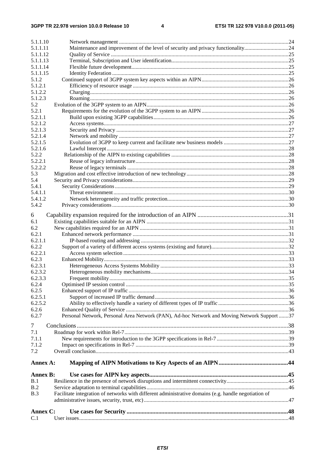| 5.1.1.10           |                                                                                                      |  |
|--------------------|------------------------------------------------------------------------------------------------------|--|
| 5.1.1.11           | Maintenance and improvement of the level of security and privacy functionality24                     |  |
| 5.1.1.12           |                                                                                                      |  |
| 5.1.1.13           |                                                                                                      |  |
| 5.1.1.14           |                                                                                                      |  |
| 5.1.1.15           |                                                                                                      |  |
| 5.1.2              |                                                                                                      |  |
| 5.1.2.1            |                                                                                                      |  |
| 5.1.2.2            |                                                                                                      |  |
| 5.1.2.3            |                                                                                                      |  |
| 5.2                |                                                                                                      |  |
| 5.2.1              |                                                                                                      |  |
| 5.2.1.1            |                                                                                                      |  |
| 5.2.1.2            |                                                                                                      |  |
| 5.2.1.3<br>5.2.1.4 |                                                                                                      |  |
| 5.2.1.5            |                                                                                                      |  |
| 5.2.1.6            |                                                                                                      |  |
| 5.2.2              |                                                                                                      |  |
| 5.2.2.1            |                                                                                                      |  |
| 5.2.2.2            |                                                                                                      |  |
| 5.3                |                                                                                                      |  |
| 5.4                |                                                                                                      |  |
| 5.4.1              |                                                                                                      |  |
| 5.4.1.1            |                                                                                                      |  |
| 5.4.1.2            |                                                                                                      |  |
| 5.4.2              |                                                                                                      |  |
|                    |                                                                                                      |  |
| 6                  |                                                                                                      |  |
| 6.1                |                                                                                                      |  |
| 6.2<br>6.2.1       |                                                                                                      |  |
| 6.2.1.1            |                                                                                                      |  |
| 6.2.2              |                                                                                                      |  |
| 6.2.2.1            |                                                                                                      |  |
| 6.2.3              |                                                                                                      |  |
| 6.2.3.1            |                                                                                                      |  |
| 6.2.3.2            |                                                                                                      |  |
| 6.2.3.3            |                                                                                                      |  |
| 6.2.4              |                                                                                                      |  |
| 6.2.5              |                                                                                                      |  |
| 6.2.5.1            |                                                                                                      |  |
| 6.2.5.2            |                                                                                                      |  |
| 6.2.6              |                                                                                                      |  |
| 6.2.7              | Personal Network, Personal Area Network (PAN), Ad-hoc Network and Moving Network Support 37          |  |
| $\tau$             |                                                                                                      |  |
| 7.1                |                                                                                                      |  |
| 7.1.1              |                                                                                                      |  |
| 7.1.2              |                                                                                                      |  |
| 7.2                |                                                                                                      |  |
|                    |                                                                                                      |  |
| Annex A:           |                                                                                                      |  |
|                    |                                                                                                      |  |
| <b>Annex B:</b>    |                                                                                                      |  |
| B.1                |                                                                                                      |  |
| B.2                |                                                                                                      |  |
| B.3                | Facilitate integration of networks with different administrative domains (e.g. handle negotiation of |  |
|                    |                                                                                                      |  |
| Annex C:           |                                                                                                      |  |
| C.1                |                                                                                                      |  |
|                    |                                                                                                      |  |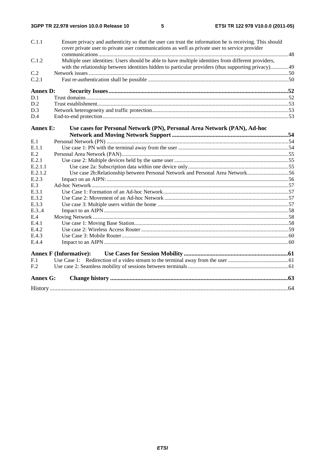| C.1.1           | Ensure privacy and authenticity so that the user can trust the information he is receiving. This should<br>cover private user to private user communications as well as private user to service provider |  |
|-----------------|----------------------------------------------------------------------------------------------------------------------------------------------------------------------------------------------------------|--|
|                 |                                                                                                                                                                                                          |  |
| C.1.2           | Multiple user identities: Users should be able to have multiple identities from different providers,                                                                                                     |  |
|                 | with the relationship between identities hidden to particular providers (thus supporting privacy)49                                                                                                      |  |
| C.2             |                                                                                                                                                                                                          |  |
| C.2.1           |                                                                                                                                                                                                          |  |
| <b>Annex D:</b> |                                                                                                                                                                                                          |  |
| D.1             |                                                                                                                                                                                                          |  |
| D.2             |                                                                                                                                                                                                          |  |
| D.3             |                                                                                                                                                                                                          |  |
| D.4             |                                                                                                                                                                                                          |  |
| <b>Annex E:</b> | Use cases for Personal Network (PN), Personal Area Network (PAN), Ad-hoc                                                                                                                                 |  |
|                 |                                                                                                                                                                                                          |  |
| E.1             |                                                                                                                                                                                                          |  |
| E.1.1           |                                                                                                                                                                                                          |  |
| E.2             |                                                                                                                                                                                                          |  |
| E.2.1           |                                                                                                                                                                                                          |  |
| E.2.1.1         |                                                                                                                                                                                                          |  |
| E.2.1.2         | Use case 2b:Relationship between Personal Network and Personal Area Network56                                                                                                                            |  |
| E.2.3           |                                                                                                                                                                                                          |  |
| E.3             |                                                                                                                                                                                                          |  |
| E.3.1           |                                                                                                                                                                                                          |  |
| E.3.2           |                                                                                                                                                                                                          |  |
| E.3.3           |                                                                                                                                                                                                          |  |
| E.3.4           |                                                                                                                                                                                                          |  |
| E.4             |                                                                                                                                                                                                          |  |
| E.4.1           |                                                                                                                                                                                                          |  |
| E.4.2           |                                                                                                                                                                                                          |  |
| E.4.3           |                                                                                                                                                                                                          |  |
| E.4.4           |                                                                                                                                                                                                          |  |
|                 | <b>Annex F (Informative):</b>                                                                                                                                                                            |  |
| F.1             |                                                                                                                                                                                                          |  |
| F.2             |                                                                                                                                                                                                          |  |
| <b>Annex G:</b> |                                                                                                                                                                                                          |  |
|                 |                                                                                                                                                                                                          |  |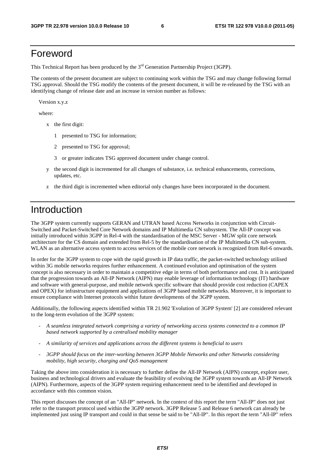## Foreword

This Technical Report has been produced by the  $3<sup>rd</sup>$  Generation Partnership Project (3GPP).

The contents of the present document are subject to continuing work within the TSG and may change following formal TSG approval. Should the TSG modify the contents of the present document, it will be re-released by the TSG with an identifying change of release date and an increase in version number as follows:

Version x.y.z

where:

- x the first digit:
	- 1 presented to TSG for information;
	- 2 presented to TSG for approval;
	- 3 or greater indicates TSG approved document under change control.
- y the second digit is incremented for all changes of substance, i.e. technical enhancements, corrections, updates, etc.
- z the third digit is incremented when editorial only changes have been incorporated in the document.

## Introduction

The 3GPP system currently supports GERAN and UTRAN based Access Networks in conjunction with Circuit-Switched and Packet-Switched Core Network domains and IP Multimedia CN subsystem. The All-IP concept was initially introduced within 3GPP in Rel-4 with the standardisation of the MSC Server - MGW split core network architecture for the CS domain and extended from Rel-5 by the standardisation of the IP Multimedia CN sub-system. WLAN as an alternative access system to access services of the mobile core network is recognized from Rel-6 onwards.

In order for the 3GPP system to cope with the rapid growth in IP data traffic, the packet-switched technology utilised within 3G mobile networks requires further enhancement. A continued evolution and optimisation of the system concept is also necessary in order to maintain a competitive edge in terms of both performance and cost. It is anticipated that the progression towards an All-IP Network (AIPN) may enable leverage of information technology (IT) hardware and software with general-purpose, and mobile network specific software that should provide cost reduction (CAPEX and OPEX) for infrastructure equipment and applications of 3GPP based mobile networks. Moreover, it is important to ensure compliance with Internet protocols within future developments of the 3GPP system.

Additionally, the following aspects identified within TR 21.902 'Evolution of 3GPP System' [2] are considered relevant to the long-term evolution of the 3GPP system:

- *A seamless integrated network comprising a variety of networking access systems connected to a common IP based network supported by a centralised mobility manager*
- *A similarity of services and applications across the different systems is beneficial to users*
- *3GPP should focus on the inter-working between 3GPP Mobile Networks and other Networks considering mobility, high security, charging and QoS management*

Taking the above into consideration it is necessary to further define the All-IP Network (AIPN) concept, explore user, business and technological drivers and evaluate the feasibility of evolving the 3GPP system towards an All-IP Network (AIPN). Furthermore, aspects of the 3GPP system requiring enhancement need to be identified and developed in accordance with this common vision.

This report discusses the concept of an "All-IP" network. In the context of this report the term "All-IP" does not just refer to the transport protocol used within the 3GPP network. 3GPP Release 5 and Release 6 network can already be implemented just using IP transport and could in that sense be said to be "All-IP". In this report the term "All-IP" refers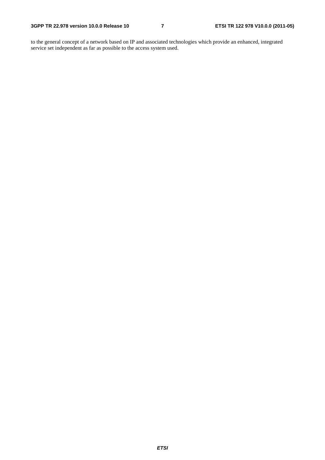to the general concept of a network based on IP and associated technologies which provide an enhanced, integrated service set independent as far as possible to the access system used.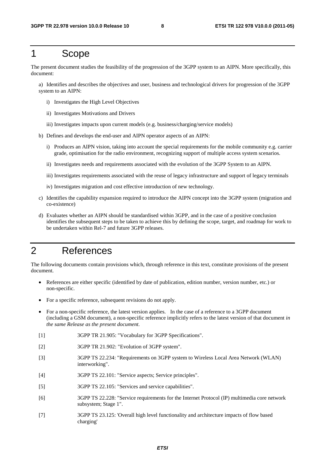### 1 Scope

The present document studies the feasibility of the progression of the 3GPP system to an AIPN. More specifically, this document:

a) Identifies and describes the objectives and user, business and technological drivers for progression of the 3GPP system to an AIPN:

- i) Investigates the High Level Objectives
- ii) Investigates Motivations and Drivers
- iii) Investigates impacts upon current models (e.g. business/charging/service models)
- b) Defines and develops the end-user and AIPN operator aspects of an AIPN:
	- i) Produces an AIPN vision, taking into account the special requirements for the mobile community e.g. carrier grade, optimisation for the radio environment, recognizing support of multiple access system scenarios.
	- ii) Investigates needs and requirements associated with the evolution of the 3GPP System to an AIPN.
	- iii) Investigates requirements associated with the reuse of legacy infrastructure and support of legacy terminals
	- iv) Investigates migration and cost effective introduction of new technology.
- c) Identifies the capability expansion required to introduce the AIPN concept into the 3GPP system (migration and co-existence)
- d) Evaluates whether an AIPN should be standardised within 3GPP, and in the case of a positive conclusion identifies the subsequent steps to be taken to achieve this by defining the scope, target, and roadmap for work to be undertaken within Rel-7 and future 3GPP releases.

## 2 References

The following documents contain provisions which, through reference in this text, constitute provisions of the present document.

- References are either specific (identified by date of publication, edition number, version number, etc.) or non-specific.
- For a specific reference, subsequent revisions do not apply.
- For a non-specific reference, the latest version applies. In the case of a reference to a 3GPP document (including a GSM document), a non-specific reference implicitly refers to the latest version of that document *in the same Release as the present document*.
- [1] 3GPP TR 21.905: "Vocabulary for 3GPP Specifications".
- [2] 3GPP TR 21.902: "Evolution of 3GPP system".
- [3] 3GPP TS 22.234: "Requirements on 3GPP system to Wireless Local Area Network (WLAN) interworking".
- [4] 3GPP TS 22.101: "Service aspects; Service principles".
- [5] 3GPP TS 22.105: "Services and service capabilities".
- [6] 3GPP TS 22.228: "Service requirements for the Internet Protocol (IP) multimedia core network subsystem; Stage 1".
- [7] 3GPP TS 23.125: 'Overall high level functionality and architecture impacts of flow based charging'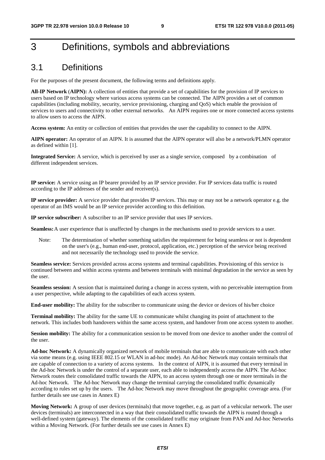## 3 Definitions, symbols and abbreviations

### 3.1 Definitions

For the purposes of the present document, the following terms and definitions apply.

**All-IP Network** (**AIPN):** A collection of entities that provide a set of capabilities for the provision of IP services to users based on IP technology where various access systems can be connected. The AIPN provides a set of common capabilities (including mobility, security, service provisioning, charging and QoS) which enable the provision of services to users and connectivity to other external networks. An AIPN requires one or more connected access systems to allow users to access the AIPN.

**Access system:** An entity or collection of entities that provides the user the capability to connect to the AIPN.

**AIPN operator:** An operator of an AIPN. It is assumed that the AIPN operator will also be a network/PLMN operator as defined within [1].

**Integrated Service:** A service, which is perceived by user as a single service, composed by a combination of different independent services.

**IP service:** A service using an IP bearer provided by an IP service provider. For IP services data traffic is routed according to the IP addresses of the sender and receiver(s).

**IP service provider:** A service provider that provides IP services. This may or may not be a network operator e.g. the operator of an IMS would be an IP service provider according to this definition.

**IP service subscriber:** A subscriber to an IP service provider that uses IP services.

**Seamless:** A user experience that is unaffected by changes in the mechanisms used to provide services to a user.

Note: The determination of whether something satisfies the requirement for being seamless or not is dependent on the user's (e.g., human end-user, protocol, application, etc.) perception of the service being received and not necessarily the technology used to provide the service.

**Seamless service:** Services provided across access systems and terminal capabilities. Provisioning of this service is continued between and within access systems and between terminals with minimal degradation in the service as seen by the user.

**Seamless session:** A session that is maintained during a change in access system, with no perceivable interruption from a user perspective, while adapting to the capabilities of each access system.

**End-user mobility:** The ability for the subscriber to communicate using the device or devices of his/her choice

**Terminal mobility:** The ability for the same UE to communicate whilst changing its point of attachment to the network. This includes both handovers within the same access system, and handover from one access system to another.

**Session mobility:** The ability for a communication session to be moved from one device to another under the control of the user.

**Ad-hoc Network:** A dynamically organized network of mobile terminals that are able to communicate with each other via some means (e.g. using IEEE 802.15 or WLAN in ad-hoc mode). An Ad-hoc Network may contain terminals that are capable of connection to a variety of access systems. In the context of AIPN, it is assumed that every terminal in the Ad-hoc Network is under the control of a separate user, each able to independently access the AIPN. The Ad-hoc Network routes their consolidated traffic towards the AIPN, to an access system through one or more terminals in the Ad-hoc Network. The Ad-hoc Network may change the terminal carrying the consolidated traffic dynamically according to rules set up by the users. The Ad-hoc Network may move throughout the geographic coverage area. (For further details see use cases in Annex E)

**Moving Network:** A group of user devices (terminals) that move together, e.g. as part of a vehicular network. The user devices (terminals) are interconnected in a way that their consolidated traffic towards the AIPN is routed through a well-defined system (gateway). The elements of the consolidated traffic may originate from PAN and Ad-hoc Networks within a Moving Network. (For further details see use cases in Annex E)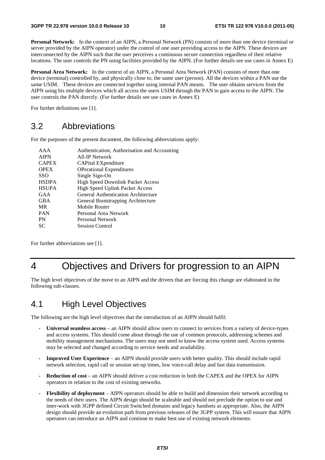**Personal Network:** In the context of an AIPN, a Personal Network (PN) consists of more than one device (terminal or server provided by the AIPN operator) under the control of one user providing access to the AIPN. These devices are interconnected by the AIPN such that the user perceives a continuous secure connection regardless of their relative locations. The user controls the PN using facilities provided by the AIPN. (For further details see use cases in Annex E)

**Personal Area Network:** In the context of an AIPN, a Personal Area Network (PAN) consists of more than one device (terminal) controlled by, and physically close to, the same user (person). All the devices within a PAN use the same USIM. These devices are connected together using internal PAN means. The user obtains services from the AIPN using his multiple devices which all access the users USIM through the PAN to gain access to the AIPN. The user controls the PAN directly. (For further details see use cases in Annex E)

For further definitions see [1].

### 3.2 Abbreviations

For the purposes of the present document, the following abbreviations apply:

| AAA          | Authentication, Authorisation and Accounting |
|--------------|----------------------------------------------|
| <b>AIPN</b>  | All-IP Network                               |
| <b>CAPEX</b> | CAPital EXpenditure                          |
| <b>OPEX</b>  | <b>OPerational Expenditures</b>              |
| <b>SSO</b>   | Single Sign-On                               |
| <b>HSDPA</b> | <b>High Speed Downlink Packet Access</b>     |
| <b>HSUPA</b> | <b>High Speed Uplink Packet Access</b>       |
| GAA          | <b>General Authentication Architecture</b>   |
| <b>GBA</b>   | General Bootstrapping Architecture           |
| <b>MR</b>    | Mobile Router                                |
| <b>PAN</b>   | Personal Area Network                        |
| <b>PN</b>    | Personal Network                             |
| <b>SC</b>    | Session Control                              |
|              |                                              |

For further abbreviations see [1].

## 4 Objectives and Drivers for progression to an AIPN

The high level objectives of the move to an AIPN and the drivers that are forcing this change are elaborated in the following sub-clauses.

## 4.1 High Level Objectives

The following are the high level objectives that the introduction of an AIPN should fulfil:

- **Universal seamless access** an AIPN should allow users to connect to services from a variety of device-types and access systems. This should come about through the use of common protocols, addressing schemes and mobility management mechanisms. The users may not need to know the access system used. Access systems may be selected and changed according to service needs and availability.
- **Improved User Experience**  an AIPN should provide users with better quality. This should include rapid network selection, rapid call or session set-up times, low voice-call delay and fast data transmission.
- **Reduction of cost** an AIPN should deliver a cost reduction in both the CAPEX and the OPEX for AIPN operators in relation to the cost of existing networks.
- **Flexibility of deployment** AIPN operators should be able to build and dimension their network according to the needs of their users. The AIPN design should be scaleable and should not preclude the option to use and inter-work with 3GPP defined Circuit Switched domains and legacy handsets as appropriate. Also, the AIPN design should provide an evolution path from previous releases of the 3GPP system. This will ensure that AIPN operators can introduce an AIPN and continue to make best use of existing network elements.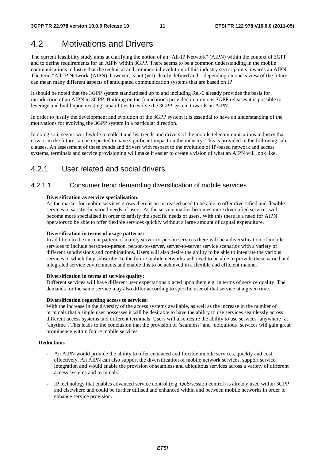## 4.2 Motivations and Drivers

The current feasibility study aims at clarifying the notion of an "All-IP Network" (AIPN) within the context of 3GPP and to define requirements for an AIPN within 3GPP. There seems to be a common understanding in the mobile communications industry that the technical and commercial evolution of this industry sector points towards an AIPN. The term "All-IP Network"(AIPN), however, is not (yet) clearly defined and – depending on one"s view of the future – can mean many different aspects of anticipated communication systems that are based on IP.

It should be noted that the 3GPP system standardised up to and including Rel-6 already provides the basis for introduction of an AIPN in 3GPP. Building on the foundations provided in previous 3GPP releases it is possible to leverage and build upon existing capabilities to evolve the 3GPP system towards an AIPN.

In order to justify the development and evolution of the 3GPP system it is essential to have an understanding of the motivations for evolving the 3GPP system in a particular direction.

In doing so it seems worthwhile to collect and list trends and drivers of the mobile telecommunications industry that now or in the future can be expected to have significant impact on the industry. This is provided in the following subclauses. An assessment of these trends and drivers with respect to the evolution of IP-based network and access systems, terminals and service provisioning will make it easier to create a vision of what an AIPN will look like.

### 4.2.1 User related and social drivers

### 4.2.1.1 Consumer trend demanding diversification of mobile services

#### **Diversification as service specialisation:**

As the market for mobile services grows there is an increased need to be able to offer diversified and flexible services to satisfy the varied needs of users. As the service market becomes more diversified services will become more specialised in order to satisfy the specific needs of users. With this there is a need for AIPN operators to be able to offer flexible services quickly without a large amount of capital expenditure.

#### **Diversification in terms of usage patterns:**

In addition to the current pattern of mainly server-to-person services there will be a diversification of mobile services to include person-to-person, person-to-server, server-to-server service scenarios with a variety of different subdivisions and combinations. Users will also desire the ability to be able to integrate the various services to which they subscribe. In the future mobile networks will need to be able to provide these varied and integrated service environments and enable this to be achieved in a flexible and efficient manner.

#### **Diversification in terms of service quality:**

Different services will have different user expectations placed upon them e.g. in terms of service quality. The demands for the same service may also differ according to specific user of that service at a given time.

#### **Diversification regarding access to services:**

With the increase in the diversity of the access systems available, as well as the increase in the number of terminals that a single user possesses it will be desirable to have the ability to use services seamlessly across different access systems and different terminals. Users will also desire the ability to use services `anywhere` at `anytime`. This leads to the conclusion that the provision of `seamless` and `ubiquitous` services will gain great prominence within future mobile services.

#### **Deductions**

- An AIPN would provide the ability to offer enhanced and flexible mobile services, quickly and cost effectively. An AIPN can also support the diversification of mobile network services, support service integration and would enable the provision of seamless and ubiquitous services across a variety of different access systems and terminals.
- IP technology that enables advanced service control (e.g. QoS/session control) is already used within 3GPP and elsewhere and could be further utilised and enhanced within and between mobile networks in order to enhance service provision.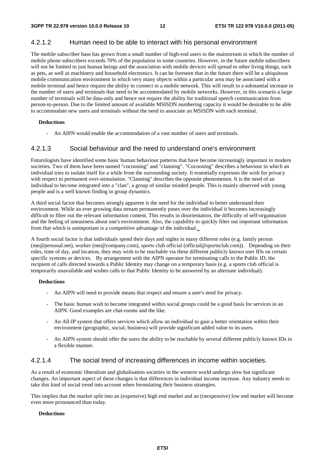### 4.2.1.2 Human need to be able to interact with his personal environment

The mobile subscriber base has grown from a small number of high-end users to the mainstream in which the number of mobile phone subscribers exceeds 70% of the population in some countries. However, in the future mobile subscribers will not be limited to just human beings and the association with mobile devices will spread to other living things, such as pets, as well as machinery and household electronics. It can be foreseen that in the future there will be a ubiquitous mobile communication environment in which very many objects within a particular area may be associated with a mobile terminal and hence require the ability to connect to a mobile network. This will result in a substantial increase in the number of users and terminals that need to be accommodated by mobile networks. However, in this scenario a large number of terminals will be data-only and hence not require the ability for traditional speech communication from person-to-person. Due to the limited amount of available MSISDN numbering capacity it would be desirable to be able to accommodate new users and terminals without the need to associate an MSISDN with each terminal.

#### **Deductions**

An AIPN would enable the accommodation of a vast number of users and terminals.

### 4.2.1.3 Social behaviour and the need to understand one's environment

Futurologists have identified some basic human behaviour patterns that have become increasingly important in modern societies. Two of them have been named "cocooning" and "clanning". "Cocooning" describes a behaviour in which an individual tries to isolate itself for a while from the surrounding society. It essentially expresses the wish for privacy with respect to permanent over-stimulation. "Clanning" describes the opposite phenomenon. It is the need of an individual to become integrated into a "clan", a group of similar minded people. This is mainly observed with young people and is a well known finding in group dynamics.

A third social factor that becomes strongly apparent is the need for the individual to better understand their environment. While an ever growing data stream permanently pours over the individual it becomes increasingly difficult to filter out the relevant information content. This results in disorientation, the difficulty of self-organisation and the feeling of uneasiness about one's environment. Also, the capability to quickly filter out important information from that which is unimportant is a competitive advantage of the individual.

A fourth social factor is that individuals spend their days and nights in many different roles (e.g. family person (me@personal.net), worker (me@company.com), sports club official (official@sportsclub.com)). Depending on their roles, time of day, and location, they may wish to be reachable via these different publicly known user IDs on certain specific systems or devices. By arrangement with the AIPN operator for terminating calls to the Public ID, the recipient of calls directed towards a Public Identity may change on a temporary basis (e.g. a sports club official is temporarily unavailable and wishes calls to that Public Identity to be answered by an alternate individual).

#### **Deductions**

- An AIPN will need to provide means that respect and ensure a user's need for privacy.
- The basic human wish to become integrated within social groups could be a good basis for services in an AIPN. Good examples are chat-rooms and the like.
- An All-IP system that offers services which allow an individual to gain a better orientation within their environment (geographic, social, business) will provide significant added value to its users.
- An AIPN system should offer the users the ability to be reachable by several different publicly known IDs in a flexible manner.

### 4.2.1.4 The social trend of increasing differences in income within societies.

As a result of economic liberalism and globalisation societies in the western world undergo slow but significant changes. An important aspect of these changes is that differences in individual income increase. Any industry needs to take this kind of social trend into account when formulating their business strategies.

This implies that the market split into an (expensive) high end market and an (inexpensive) low end market will become even more pronounced than today.

#### **Deductions**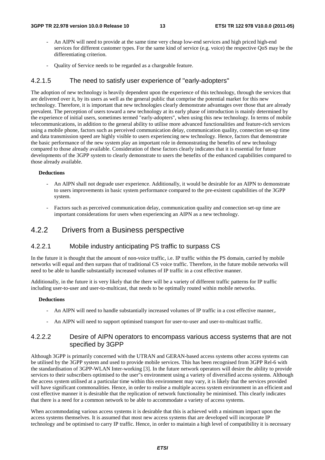- An AIPN will need to provide at the same time very cheap low-end services and high priced high-end services for different customer types. For the same kind of service (e.g. voice) the respective QoS may be the differentiating criterion.
- Quality of Service needs to be regarded as a chargeable feature.

### 4.2.1.5 The need to satisfy user experience of "early-adopters"

The adoption of new technology is heavily dependent upon the experience of this technology, through the services that are delivered over it, by its users as well as the general public that comprise the potential market for this new technology. Therefore, it is important that new technologies clearly demonstrate advantages over those that are already prevalent. The perception of users toward a new technology at its early phase of introduction is mainly determined by the experience of initial users, sometimes termed "early-adopters", when using this new technology. In terms of mobile telecommunications, in addition to the general ability to utilise more advanced functionalities and feature-rich services using a mobile phone, factors such as perceived communication delay, communication quality, connection set-up time and data transmission speed are highly visible to users experiencing new technology. Hence, factors that demonstrate the basic performance of the new system play an important role in demonstrating the benefits of new technology compared to those already available. Consideration of these factors clearly indicates that it is essential for future developments of the 3GPP system to clearly demonstrate to users the benefits of the enhanced capabilities compared to those already available.

#### **Deductions**

- An AIPN shall not degrade user experience. Additionally, it would be desirable for an AIPN to demonstrate to users improvements in basic system performance compared to the pre-existent capabilities of the 3GPP system.
- Factors such as perceived communication delay, communication quality and connection set-up time are important considerations for users when experiencing an AIPN as a new technology.

### 4.2.2 Drivers from a Business perspective

### 4.2.2.1 Mobile industry anticipating PS traffic to surpass CS

In the future it is thought that the amount of non-voice traffic, i.e. IP traffic within the PS domain, carried by mobile networks will equal and then surpass that of traditional CS voice traffic. Therefore, in the future mobile networks will need to be able to handle substantially increased volumes of IP traffic in a cost effective manner.

Additionally, in the future it is very likely that the there will be a variety of different traffic patterns for IP traffic including user-to-user and user-to-multicast, that needs to be optimally routed within mobile networks.

#### **Deductions**

- An AIPN will need to handle substantially increased volumes of IP traffic in a cost effective manner,.
- An AIPN will need to support optimised transport for user-to-user and user-to-multicast traffic.

### 4.2.2.2 Desire of AIPN operators to encompass various access systems that are not specified by 3GPP

Although 3GPP is primarily concerned with the UTRAN and GERAN-based access systems other access systems can be utilised by the 3GPP system and used to provide mobile services. This has been recognised from 3GPP Rel-6 with the standardisation of 3GPP-WLAN Inter-working [3]. In the future network operators will desire the ability to provide services to their subscribers optimised to the user"s environment using a variety of diversified access systems. Although the access system utilised at a particular time within this environment may vary, it is likely that the services provided will have significant commonalities. Hence, in order to realise a multiple access system environment in an efficient and cost effective manner it is desirable that the replication of network functionality be minimised. This clearly indicates that there is a need for a common network to be able to accommodate a variety of access systems.

When accommodating various access systems it is desirable that this is achieved with a minimum impact upon the access systems themselves. It is assumed that most new access systems that are developed will incorporate IP technology and be optimised to carry IP traffic. Hence, in order to maintain a high level of compatibility it is necessary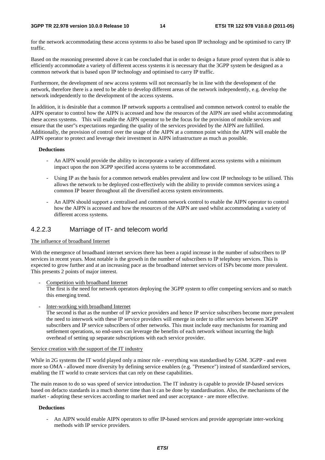#### **3GPP TR 22.978 version 10.0.0 Release 10 14 ETSI TR 122 978 V10.0.0 (2011-05)**

for the network accommodating these access systems to also be based upon IP technology and be optimised to carry IP traffic.

Based on the reasoning presented above it can be concluded that in order to design a future proof system that is able to efficiently accommodate a variety of different access systems it is necessary that the 3GPP system be designed as a common network that is based upon IP technology and optimised to carry IP traffic.

Furthermore, the development of new access systems will not necessarily be in line with the development of the network, therefore there is a need to be able to develop different areas of the network independently, e.g. develop the network independently to the development of the access systems.

In addition, it is desirable that a common IP network supports a centralised and common network control to enable the AIPN operator to control how the AIPN is accessed and how the resources of the AIPN are used whilst accommodating these access systems. This will enable the AIPN operator to be the focus for the provision of mobile services and ensure that the user"s expectations regarding the quality of the services provided by the AIPN are fulfilled. Additionally, the provision of control over the usage of the AIPN at a common point within the AIPN will enable the AIPN operator to protect and leverage their investment in AIPN infrastructure as much as possible.

#### **Deductions**

- An AIPN would provide the ability to incorporate a variety of different access systems with a minimum impact upon the non 3GPP specified access systems to be accommodated.
- Using IP as the basis for a common network enables prevalent and low cost IP technology to be utilised. This allows the network to be deployed cost-effectively with the ability to provide common services using a common IP bearer throughout all the diversified access system environments.
- An AIPN should support a centralised and common network control to enable the AIPN operator to control how the AIPN is accessed and how the resources of the AIPN are used whilst accommodating a variety of different access systems.

### 4.2.2.3 Marriage of IT- and telecom world

#### The influence of broadband Internet

With the emergence of broadband internet services there has been a rapid increase in the number of subscribers to IP services in recent years. Most notable is the growth in the number of subscribers to IP telephony services. This is expected to grow further and at an increasing pace as the broadband internet services of ISPs become more prevalent. This presents 2 points of major interest.

Competition with broadband Internet

The first is the need for network operators deploying the 3GPP system to offer competing services and so match this emerging trend.

Inter-working with broadband Internet

The second is that as the number of IP service providers and hence IP service subscribers become more prevalent the need to interwork with these IP service providers will emerge in order to offer services between 3GPP subscribers and IP service subscribers of other networks. This must include easy mechanisms for roaming and settlement operations, so end-users can leverage the benefits of each network without incurring the high overhead of setting up separate subscriptions with each service provider.

#### Service creation with the support of the IT industry

While in 2G systems the IT world played only a minor role - everything was standardised by GSM. 3GPP - and even more so OMA - allowed more diversity by defining service enablers (e.g. "Presence") instead of standardized services, enabling the IT world to create services that can rely on these capabilities.

The main reason to do so was speed of service introduction. The IT industry is capable to provide IP-based services based on defacto standards in a much shorter time than it can be done by standardisation. Also, the mechanisms of the market - adopting these services according to market need and user acceptance - are more effective.

#### **Deductions**

- An AIPN would enable AIPN operators to offer IP-based services and provide appropriate inter-working methods with IP service providers.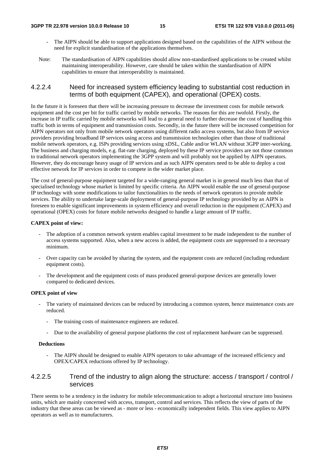- The AIPN should be able to support applications designed based on the capabilities of the AIPN without the need for explicit standardisation of the applications themselves.
- Note: The standardisation of AIPN capabilities should allow non-standardised applications to be created whilst maintaining interoperability. However, care should be taken within the standardisation of AIPN capabilities to ensure that interoperability is maintained.

### 4.2.2.4 Need for increased system efficiency leading to substantial cost reduction in terms of both equipment (CAPEX), and operational (OPEX) costs.

In the future it is foreseen that there will be increasing pressure to decrease the investment costs for mobile network equipment and the cost per bit for traffic carried by mobile networks. The reasons for this are twofold. Firstly, the increase in IP traffic carried by mobile networks will lead to a general need to further decrease the cost of handling this traffic both in terms of equipment and transmission costs. Secondly, in the future there will be increased competition for AIPN operators not only from mobile network operators using different radio access systems, but also from IP service providers providing broadband IP services using access and transmission technologies other than those of traditional mobile network operators, e.g. ISPs providing services using xDSL, Cable and/or WLAN without 3GPP inter-working. The business and charging models, e.g. flat-rate charging, deployed by these IP service providers are not those common to traditional network operators implementing the 3GPP system and will probably not be applied by AIPN operators. However, they do encourage heavy usage of IP services and as such AIPN operators need to be able to deploy a cost effective network for IP services in order to compete in the wider market place.

The cost of general-purpose equipment targeted for a wide-ranging general market is in general much less than that of specialised technology whose market is limited by specific criteria. An AIPN would enable the use of general-purpose IP technology with some modifications to tailor functionalities to the needs of network operators to provide mobile services. The ability to undertake large-scale deployment of general-purpose IP technology provided by an AIPN is foreseen to enable significant improvements in system efficiency and overall reduction in the equipment (CAPEX) and operational (OPEX) costs for future mobile networks designed to handle a large amount of IP traffic.

#### **CAPEX point of view:**

- The adoption of a common network system enables capital investment to be made independent to the number of access systems supported. Also, when a new access is added, the equipment costs are suppressed to a necessary minimum.
- Over capacity can be avoided by sharing the system, and the equipment costs are reduced (including redundant equipment costs).
- The development and the equipment costs of mass produced general-purpose devices are generally lower compared to dedicated devices.

#### **OPEX point of view**

- The variety of maintained devices can be reduced by introducing a common system, hence maintenance costs are reduced.
	- The training costs of maintenance engineers are reduced.
	- Due to the availability of general purpose platforms the cost of replacement hardware can be suppressed.

#### **Deductions**

The AIPN should be designed to enable AIPN operators to take advantage of the increased efficiency and OPEX/CAPEX reductions offered by IP technology.

### 4.2.2.5 Trend of the industry to align along the structure: access / transport / control / services

There seems to be a tendency in the industry for mobile telecommunication to adopt a horizontal structure into business units, which are mainly concerned with access, transport, control and services. This reflects the view of parts of the industry that these areas can be viewed as - more or less - economically independent fields. This view applies to AIPN operators as well as to manufacturers.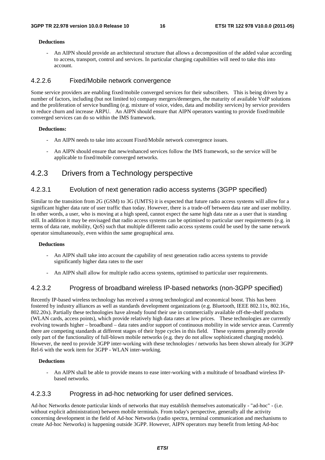#### **Deductions**

- An AIPN should provide an architectural structure that allows a decomposition of the added value according to access, transport, control and services. In particular charging capabilities will need to take this into account.

### 4.2.2.6 Fixed/Mobile network convergence

Some service providers are enabling fixed/mobile converged services for their subscribers. This is being driven by a number of factors, including (but not limited to) company mergers/demergers, the maturity of available VoIP solutions and the proliferation of service bundling (e.g. mixture of voice, video, data and mobility services) by service providers to reduce churn and increase ARPU. An AIPN should ensure that AIPN operators wanting to provide fixed/mobile converged services can do so within the IMS framework.

#### **Deductions:**

- An AIPN needs to take into account Fixed/Mobile network convergence issues.
- An AIPN should ensure that new/enhanced services follow the IMS framework, so the service will be applicable to fixed/mobile converged networks.

### 4.2.3 Drivers from a Technology perspective

### 4.2.3.1 Evolution of next generation radio access systems (3GPP specified)

Similar to the transition from 2G (GSM) to 3G (UMTS) it is expected that future radio access systems will allow for a significant higher data rate of user traffic than today. However, there is a trade-off between data rate and user mobility. In other words, a user, who is moving at a high speed, cannot expect the same high data rate as a user that is standing still. In addition it may be envisaged that radio access systems can be optimised to particular user requirements (e.g. in terms of data rate, mobility, QoS) such that multiple different radio access systems could be used by the same network operator simultaneously, even within the same geographical area.

#### **Deductions**

- An AIPN shall take into account the capability of next generation radio access systems to provide significantly higher data rates to the user
- An AIPN shall allow for multiple radio access systems, optimised to particular user requirements.

### 4.2.3.2 Progress of broadband wireless IP-based networks (non-3GPP specified)

Recently IP-based wireless technology has received a strong technological and economical boost. This has been fostered by industry alliances as well as standards development organizations (e.g. Bluetooth, IEEE 802.11x, 802.16x, 802.20x). Partially these technologies have already found their use in commercially available off-the-shelf products (WLAN cards, access points), which provide relatively high data rates at low prices. These technologies are currently evolving towards higher – broadband – data rates and/or support of continuous mobility in wide service areas. Currently there are competing standards at different stages of their hype cycles in this field. These systems generally provide only part of the functionality of full-blown mobile networks (e.g. they do not allow sophisticated charging models). However, the need to provide 3GPP inter-working with these technologies / networks has been shown already for 3GPP Rel-6 with the work item for 3GPP - WLAN inter-working.

#### **Deductions**

- An AIPN shall be able to provide means to ease inter-working with a multitude of broadband wireless IPbased networks.

### 4.2.3.3 Progress in ad-hoc networking for user defined services.

Ad-hoc Networks denote particular kinds of networks that may establish themselves automatically - "ad-hoc" - (i.e. without explicit administration) between mobile terminals. From today's perspective, generally all the activity concerning development in the field of Ad-hoc Networks (radio spectra, terminal communication and mechanisms to create Ad-hoc Networks) is happening outside 3GPP. However, AIPN operators may benefit from letting Ad-hoc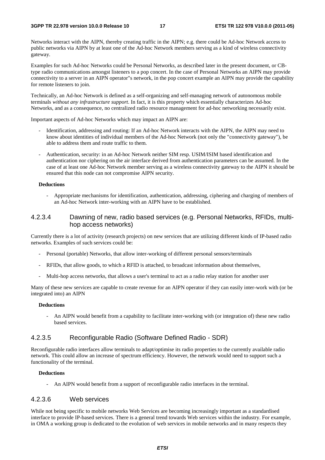Networks interact with the AIPN, thereby creating traffic in the AIPN; e.g. there could be Ad-hoc Network access to public networks via AIPN by at least one of the Ad-hoc Network members serving as a kind of wireless connectivity gateway.

Examples for such Ad-hoc Networks could be Personal Networks, as described later in the present document, or CBtype radio communications amongst listeners to a pop concert. In the case of Personal Networks an AIPN may provide connectivity to a server in an AIPN operator"s network, in the pop concert example an AIPN may provide the capability for remote listeners to join.

Technically, an Ad-hoc Network is defined as a self-organizing and self-managing network of autonomous mobile terminals *without any infrastructure support*. In fact, it is this property which essentially characterizes Ad-hoc Networks, and as a consequence, no centralized radio resource management for ad-hoc networking necessarily exist.

Important aspects of Ad-hoc Networks which may impact an AIPN are:

- Identification, addressing and routing: If an Ad-hoc Network interacts with the AIPN, the AIPN may need to know about identities of individual members of the Ad-hoc Network (not only the "connectivity gateway"), be able to address them and route traffic to them.
- Authentication, security: in an Ad-hoc Network neither SIM resp. USIM/ISIM based identification and authentication nor ciphering on the air interface derived from authentication parameters can be assumed. In the case of at least one Ad-hoc Network member serving as a wireless connectivity gateway to the AIPN it should be ensured that this node can not compromise AIPN security.

#### **Deductions**

- Appropriate mechanisms for identification, authentication, addressing, ciphering and charging of members of an Ad-hoc Network inter-working with an AIPN have to be established.

### 4.2.3.4 Dawning of new, radio based services (e.g. Personal Networks, RFIDs, multihop access networks)

Currently there is a lot of activity (research projects) on new services that are utilizing different kinds of IP-based radio networks. Examples of such services could be:

- Personal (portable) Networks, that allow inter-working of different personal sensors/terminals
- RFIDs, that allow goods, to which a RFID is attached, to broadcast information about themselves,
- Multi-hop access networks, that allows a user's terminal to act as a radio relay station for another user

Many of these new services are capable to create revenue for an AIPN operator if they can easily inter-work with (or be integrated into) an AIPN

#### **Deductions**

- An AIPN would benefit from a capability to facilitate inter-working with (or integration of) these new radio based services.

### 4.2.3.5 Reconfigurable Radio (Software Defined Radio - SDR)

Reconfigurable radio interfaces allow terminals to adapt/optimise its radio properties to the currently available radio network. This could allow an increase of spectrum efficiency. However, the network would need to support such a functionality of the terminal.

#### **Deductions**

- An AIPN would benefit from a support of reconfigurable radio interfaces in the terminal.

### 4.2.3.6 Web services

While not being specific to mobile networks Web Services are becoming increasingly important as a standardised interface to provide IP-based services. There is a general trend towards Web services within the industry. For example, in OMA a working group is dedicated to the evolution of web services in mobile networks and in many respects they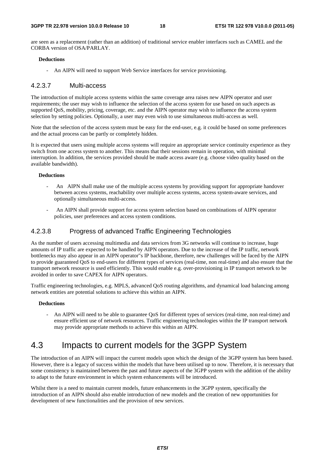are seen as a replacement (rather than an addition) of traditional service enabler interfaces such as CAMEL and the CORBA version of OSA/PARLAY.

#### **Deductions**

- An AIPN will need to support Web Service interfaces for service provisioning.

### 4.2.3.7 Multi-access

The introduction of multiple access systems within the same coverage area raises new AIPN operator and user requirements; the user may wish to influence the selection of the access system for use based on such aspects as supported QoS, mobility, pricing, coverage, etc. and the AIPN operator may wish to influence the access system selection by setting policies. Optionally, a user may even wish to use simultaneous multi-access as well.

Note that the selection of the access system must be easy for the end-user, e.g. it could be based on some preferences and the actual process can be partly or completely hidden.

It is expected that users using multiple access systems will require an appropriate service continuity experience as they switch from one access system to another. This means that their sessions remain in operation, with minimal interruption. In addition, the services provided should be made access aware (e.g. choose video quality based on the available bandwidth).

#### **Deductions**

- An AIPN shall make use of the multiple access systems by providing support for appropriate handover between access systems, reachability over multiple access systems, access system-aware services, and optionally simultaneous multi-access.
- An AIPN shall provide support for access system selection based on combinations of AIPN operator policies, user preferences and access system conditions.

### 4.2.3.8 Progress of advanced Traffic Engineering Technologies

As the number of users accessing multimedia and data services from 3G networks will continue to increase, huge amounts of IP traffic are expected to be handled by AIPN operators. Due to the increase of the IP traffic, network bottlenecks may also appear in an AIPN operator"s IP backbone, therefore, new challenges will be faced by the AIPN to provide guaranteed QoS to end-users for different types of services (real-time, non real-time) and also ensure that the transport network resource is used efficiently. This would enable e.g. over-provisioning in IP transport network to be avoided in order to save CAPEX for AIPN operators.

Traffic engineering technologies, e.g. MPLS, advanced QoS routing algorithms, and dynamical load balancing among network entities are potential solutions to achieve this within an AIPN.

#### **Deductions**

- An AIPN will need to be able to guarantee QoS for different types of services (real-time, non real-time) and ensure efficient use of network resources. Traffic engineering technologies within the IP transport network may provide appropriate methods to achieve this within an AIPN.

## 4.3 Impacts to current models for the 3GPP System

The introduction of an AIPN will impact the current models upon which the design of the 3GPP system has been based. However, there is a legacy of success within the models that have been utilised up to now. Therefore, it is necessary that some consistency is maintained between the past and future aspects of the 3GPP system with the addition of the ability to adapt to the future environment in which system enhancements will be introduced.

Whilst there is a need to maintain current models, future enhancements in the 3GPP system, specifically the introduction of an AIPN should also enable introduction of new models and the creation of new opportunities for development of new functionalities and the provision of new services.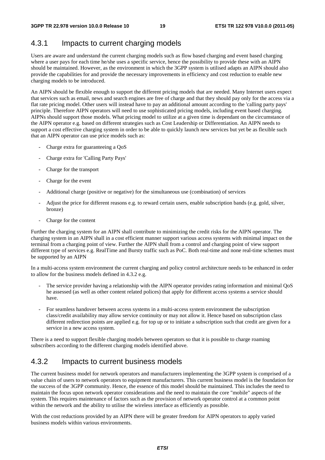## 4.3.1 Impacts to current charging models

Users are aware and understand the current charging models such as flow based charging and event based charging where a user pays for each time he/she uses a specific service, hence the possibility to provide these with an AIPN should be maintained. However, as the environment in which the 3GPP system is utilised adapts an AIPN should also provide the capabilities for and provide the necessary improvements in efficiency and cost reduction to enable new charging models to be introduced.

An AIPN should be flexible enough to support the different pricing models that are needed. Many Internet users expect that services such as email, news and search engines are free of charge and that they should pay only for the access via a flat rate pricing model. Other users will instead have to pay an additional amount according to the 'calling party pays' principle. Therefore AIPN operators will need to use sophisticated pricing models, including event based charging. AIPNs should support those models. What pricing model to utilize at a given time is dependant on the circumstance of the AIPN operator e.g. based on different strategies such as Cost Leadership or Differentiation. An AIPN needs to support a cost effective charging system in order to be able to quickly launch new services but yet be as flexible such that an AIPN operator can use price models such as:

- Charge extra for guaranteeing a OoS
- Charge extra for 'Calling Party Pays'
- Charge for the transport
- Charge for the event
- Additional charge (positive or negative) for the simultaneous use (combination) of services
- Adjust the price for different reasons e.g. to reward certain users, enable subscription bands (e.g. gold, silver, bronze)
- Charge for the content

Further the charging system for an AIPN shall contribute to minimizing the credit risks for the AIPN operator. The charging system in an AIPN shall in a cost efficient manner support various access systems with minimal impact on the terminal from a charging point of view. Further the AIPN shall from a control and charging point of view support different type of services e.g. RealTime and Bursty traffic such as PoC. Both real-time and none real-time schemes must be supported by an AIPN

In a multi-access system environment the current charging and policy control architecture needs to be enhanced in order to allow for the business models defined in 4.3.2 e.g.

- The service provider having a relationship with the AIPN operator provides rating information and minimal QoS he assessed (as well as other content related polices) that apply for different access systems a service should have.
- For seamless handover between access systems in a multi-access system environment the subscription class/credit availability may allow service continuity or may not allow it. Hence based on subscription class different redirection points are applied e.g. for top up or to initiate a subscription such that credit are given for a service in a new access system.

There is a need to support flexible charging models between operators so that it is possible to charge roaming subscribers according to the different charging models identified above.

### 4.3.2 Impacts to current business models

The current business model for network operators and manufacturers implementing the 3GPP system is comprised of a value chain of users to network operators to equipment manufacturers. This current business model is the foundation for the success of the 3GPP community. Hence, the essence of this model should be maintained. This includes the need to maintain the focus upon network operator considerations and the need to maintain the core "mobile" aspects of the system. This requires maintenance of factors such as the provision of network operator control at a common point within the network and the ability to utilise the wireless interface as efficiently as possible.

With the cost reductions provided by an AIPN there will be greater freedom for AIPN operators to apply varied business models within various environments.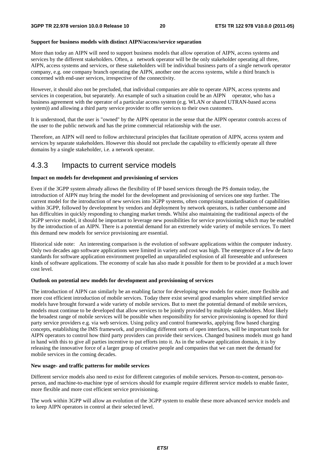#### **Support for business models with distinct AIPN/access/service separation**

More than today an AIPN will need to support business models that allow operation of AIPN, access systems and services by the different stakeholders. Often, a network operator will be the only stakeholder operating all three, AIPN, access systems and services, or these stakeholders will be individual business parts of a single network operator company, e.g. one company branch operating the AIPN, another one the access systems, while a third branch is concerned with end-user services, irrespective of the connectivity.

However, it should also not be precluded, that individual companies are able to operate AIPN, access systems and services in cooperation, but separately. An example of such a situation could be an AIPN operator, who has a business agreement with the operator of a particular access system (e.g. WLAN or shared UTRAN-based access system)) and allowing a third party service provider to offer services to their own customers.

It is understood, that the user is "owned" by the AIPN operator in the sense that the AIPN operator controls access of the user to the public network and has the prime commercial relationship with the user.

Therefore, an AIPN will need to follow architectural principles that facilitate operation of AIPN, access system and services by separate stakeholders. However this should not preclude the capability to efficiently operate all three domains by a single stakeholder, i.e. a network operator.

### 4.3.3 Impacts to current service models

#### **Impact on models for development and provisioning of services**

Even if the 3GPP system already allows the flexibility of IP based services through the PS domain today, the introduction of AIPN may bring the model for the development and provisioning of services one step further. The current model for the introduction of new services into 3GPP systems, often comprising standardisation of capabilities within 3GPP, followed by development by vendors and deployment by network operators, is rather cumbersome and has difficulties in quickly responding to changing market trends. Whilst also maintaining the traditional aspects of the 3GPP service model, it should be important to leverage new possibilities for service provisioning which may be enabled by the introduction of an AIPN. There is a potential demand for an extremely wide variety of mobile services. To meet this demand new models for service provisioning are essential.

Historical side note: An interesting comparison is the evolution of software applications within the computer industry. Only two decades ago software applications were limited in variety and cost was high. The emergence of a few de facto standards for software application environment propelled an unparalleled explosion of all foreseeable and unforeseen kinds of software applications. The economy of scale has also made it possible for them to be provided at a much lower cost level.

#### **Outlook on potential new models for development and provisioning of services**

The introduction of AIPN can similarly be an enabling factor for developing new models for easier, more flexible and more cost efficient introduction of mobile services. Today there exist several good examples where simplified service models have brought forward a wide variety of mobile services. But to meet the potential demand of mobile services, models must continue to be developed that allow services to be jointly provided by multiple stakeholders. Most likely the broadest range of mobile services will be possible when responsibility for service provisioning is opened for third party service providers e.g. via web services. Using policy and control frameworks, applying flow based charging concepts, establishing the IMS framework, and providing different sorts of open interfaces, will be important tools for AIPN operators to control how third party providers can provide their services. Changed business models must go hand in hand with this to give all parties incentive to put efforts into it. As in the software application domain, it is by releasing the innovative force of a larger group of creative people and companies that we can meet the demand for mobile services in the coming decades.

#### **New usage- and traffic patterns for mobile services**

Different service models also need to exist for different categories of mobile services. Person-to-content, person-toperson, and machine-to-machine type of services should for example require different service models to enable faster, more flexible and more cost efficient service provisioning.

The work within 3GPP will allow an evolution of the 3GPP system to enable these more advanced service models and to keep AIPN operators in control at their selected level.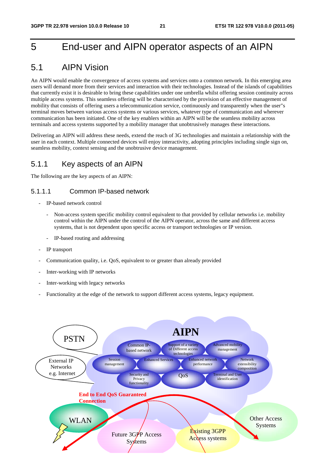## 5 End-user and AIPN operator aspects of an AIPN

## 5.1 AIPN Vision

An AIPN would enable the convergence of access systems and services onto a common network. In this emerging area users will demand more from their services and interaction with their technologies. Instead of the islands of capabilities that currently exist it is desirable to bring these capabilities under one umbrella whilst offering session continuity across multiple access systems. This seamless offering will be characterised by the provision of an effective management of mobility that consists of offering users a telecommunication service, continuously and transparently when the user"s terminal moves between various access systems or various services, whatever type of communication and wherever communication has been initiated. One of the key enablers within an AIPN will be the seamless mobility across terminals and access systems supported by a mobility manager that unobtrusively manages these interactions.

Delivering an AIPN will address these needs, extend the reach of 3G technologies and maintain a relationship with the user in each context. Multiple connected devices will enjoy interactivity, adopting principles including single sign on, seamless mobility, context sensing and the unobtrusive device management.

### 5.1.1 Key aspects of an AIPN

The following are the key aspects of an AIPN:

### 5.1.1.1 Common IP-based network

- IP-based network control
	- Non-access system specific mobility control equivalent to that provided by cellular networks i.e. mobility control within the AIPN under the control of the AIPN operator, across the same and different access systems, that is not dependent upon specific access or transport technologies or IP version.
	- IP-based routing and addressing
- IP transport
- Communication quality, i.e. QoS, equivalent to or greater than already provided
- Inter-working with IP networks
- Inter-working with legacy networks
- Functionality at the edge of the network to support different access systems, legacy equipment.

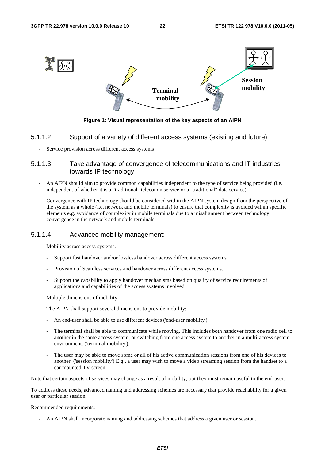

**Figure 1: Visual representation of the key aspects of an AIPN** 

### 5.1.1.2 Support of a variety of different access systems (existing and future)

Service provision across different access systems

### 5.1.1.3 Take advantage of convergence of telecommunications and IT industries towards IP technology

- An AIPN should aim to provide common capabilities independent to the type of service being provided (i.e. independent of whether it is a "traditional" telecomm service or a "traditional" data service).
- Convergence with IP technology should be considered within the AIPN system design from the perspective of the system as a whole (i.e. network and mobile terminals) to ensure that complexity is avoided within specific elements e.g. avoidance of complexity in mobile terminals due to a misalignment between technology convergence in the network and mobile terminals.

### 5.1.1.4 Advanced mobility management:

- Mobility across access systems.
	- Support fast handover and/or lossless handover across different access systems
	- Provision of Seamless services and handover across different access systems.
	- Support the capability to apply handover mechanisms based on quality of service requirements of applications and capabilities of the access systems involved.
- Multiple dimensions of mobility

The AIPN shall support several dimensions to provide mobility:

- An end-user shall be able to use different devices ('end-user mobility').
- The terminal shall be able to communicate while moving. This includes both handover from one radio cell to another in the same access system, or switching from one access system to another in a multi-access system environment. ('terminal mobility').
- The user may be able to move some or all of his active communication sessions from one of his devices to another. ('session mobility') E.g., a user may wish to move a video streaming session from the handset to a car mounted TV screen.

Note that certain aspects of services may change as a result of mobility, but they must remain useful to the end-user.

To address these needs, advanced naming and addressing schemes are necessary that provide reachability for a given user or particular session.

#### Recommended requirements:

- An AIPN shall incorporate naming and addressing schemes that address a given user or session.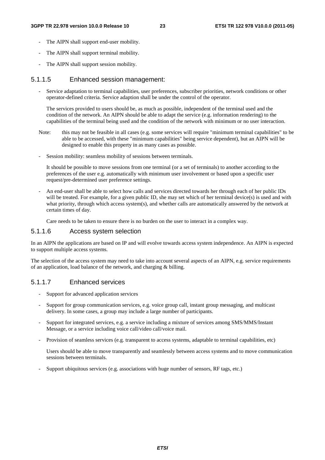- The AIPN shall support end-user mobility.
- The AIPN shall support terminal mobility.
- The AIPN shall support session mobility.

### 5.1.1.5 Enhanced session management:

- Service adaptation to terminal capabilities, user preferences, subscriber priorities, network conditions or other operator-defined criteria. Service adaption shall be under the control of the operator.

The services provided to users should be, as much as possible, independent of the terminal used and the condition of the network. An AIPN should be able to adapt the service (e.g. information rendering) to the capabilities of the terminal being used and the condition of the network with minimum or no user interaction.

- Note: this may not be feasible in all cases (e.g. some services will require "minimum terminal capabilities" to be able to be accessed, with these "minimum capabilities" being service dependent), but an AIPN will be designed to enable this property in as many cases as possible.
- Session mobility: seamless mobility of sessions between terminals.

It should be possible to move sessions from one terminal (or a set of terminals) to another according to the preferences of the user e.g. automatically with minimum user involvement or based upon a specific user request/pre-determined user preference settings.

- An end-user shall be able to select how calls and services directed towards her through each of her public IDs will be treated. For example, for a given public ID, she may set which of her terminal device(s) is used and with what priority, through which access system(s), and whether calls are automatically answered by the network at certain times of day.

Care needs to be taken to ensure there is no burden on the user to interact in a complex way.

### 5.1.1.6 Access system selection

In an AIPN the applications are based on IP and will evolve towards access system independence. An AIPN is expected to support multiple access systems.

The selection of the access system may need to take into account several aspects of an AIPN, e.g. service requirements of an application, load balance of the network, and charging & billing.

### 5.1.1.7 Enhanced services

- Support for advanced application services
- Support for group communication services, e.g. voice group call, instant group messaging, and multicast delivery. In some cases, a group may include a large number of participants.
- Support for integrated services, e.g. a service including a mixture of services among SMS/MMS/Instant Message, or a service including voice call/video call/voice mail.
- Provision of seamless services (e.g. transparent to access systems, adaptable to terminal capabilities, etc)

 Users should be able to move transparently and seamlessly between access systems and to move communication sessions between terminals.

- Support ubiquitous services (e.g. associations with huge number of sensors, RF tags, etc.)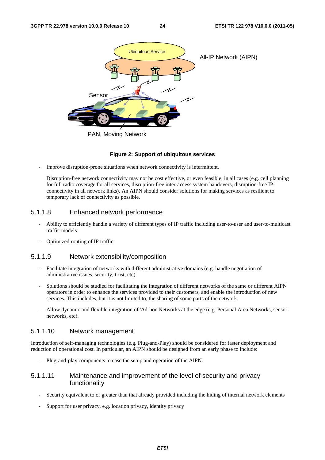

#### **Figure 2: Support of ubiquitous services**

Improve disruption-prone situations when network connectivity is intermittent.

Disruption-free network connectivity may not be cost effective, or even feasible, in all cases (e.g. cell planning for full radio coverage for all services, disruption-free inter-access system handovers, disruption-free IP connectivity in all network links). An AIPN should consider solutions for making services as resilient to temporary lack of connectivity as possible.

### 5.1.1.8 Enhanced network performance

- Ability to efficiently handle a variety of different types of IP traffic including user-to-user and user-to-multicast traffic models
- Optimized routing of IP traffic

### 5.1.1.9 Network extensibility/composition

- Facilitate integration of networks with different administrative domains (e.g. handle negotiation of administrative issues, security, trust, etc).
- Solutions should be studied for facilitating the integration of different networks of the same or different AIPN operators in order to enhance the services provided to their customers, and enable the introduction of new services. This includes, but it is not limited to, the sharing of some parts of the network.
- Allow dynamic and flexible integration of 'Ad-hoc Networks at the edge (e.g. Personal Area Networks, sensor networks, etc).

#### 5.1.1.10 Network management

Introduction of self-managing technologies (e.g. Plug-and-Play) should be considered for faster deployment and reduction of operational cost. In particular, an AIPN should be designed from an early phase to include:

- Plug-and-play components to ease the setup and operation of the AIPN.

### 5.1.1.11 Maintenance and improvement of the level of security and privacy functionality

- Security equivalent to or greater than that already provided including the hiding of internal network elements
- Support for user privacy, e.g. location privacy, identity privacy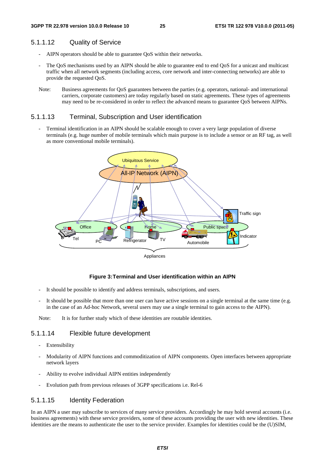### 5.1.1.12 Quality of Service

- AIPN operators should be able to guarantee QoS within their networks.
- The QoS mechanisms used by an AIPN should be able to guarantee end to end QoS for a unicast and multicast traffic when all network segments (including access, core network and inter-connecting networks) are able to provide the requested QoS.
- Note: Business agreements for QoS guarantees between the parties (e.g. operators, national- and international carriers, corporate customers) are today regularly based on static agreements. These types of agreements may need to be re-considered in order to reflect the advanced means to guarantee QoS between AIPNs.

### 5.1.1.13 Terminal, Subscription and User identification

Terminal identification in an AIPN should be scalable enough to cover a very large population of diverse terminals (e.g. huge number of mobile terminals which main purpose is to include a sensor or an RF tag, as well as more conventional mobile terminals).



#### **Figure 3: Terminal and User identification within an AIPN**

- It should be possible to identify and address terminals, subscriptions, and users.
- It should be possible that more than one user can have active sessions on a single terminal at the same time (e.g. in the case of an Ad-hoc Network, several users may use a single terminal to gain access to the AIPN).

Note: It is for further study which of these identities are routable identities.

### 5.1.1.14 Flexible future development

- Extensibility
- Modularity of AIPN functions and commoditization of AIPN components. Open interfaces between appropriate network layers
- Ability to evolve individual AIPN entities independently
- Evolution path from previous releases of 3GPP specifications i.e. Rel-6

### 5.1.1.15 Identity Federation

In an AIPN a user may subscribe to services of many service providers. Accordingly he may hold several accounts (i.e. business agreements) with these service providers, some of these accounts providing the user with new identities. These identities are the means to authenticate the user to the service provider. Examples for identities could be the (U)SIM,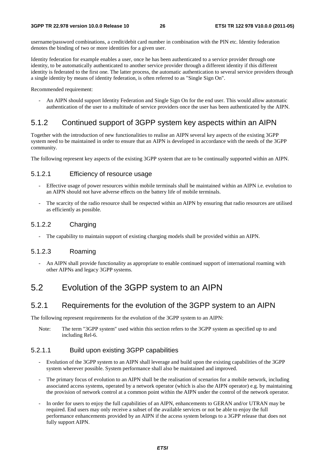username/password combinations, a credit/debit card number in combination with the PIN etc. Identity federation denotes the binding of two or more identities for a given user.

Identity federation for example enables a user, once he has been authenticated to a service provider through one identity, to be automatically authenticated to another service provider through a different identity if this different identity is federated to the first one. The latter process, the automatic authentication to several service providers through a single identity by means of identity federation, is often referred to as "Single Sign On".

Recommended requirement:

- An AIPN should support Identity Federation and Single Sign On for the end user. This would allow automatic authentication of the user to a multitude of service providers once the user has been authenticated by the AIPN.

### 5.1.2 Continued support of 3GPP system key aspects within an AIPN

Together with the introduction of new functionalities to realise an AIPN several key aspects of the existing 3GPP system need to be maintained in order to ensure that an AIPN is developed in accordance with the needs of the 3GPP community.

The following represent key aspects of the existing 3GPP system that are to be continually supported within an AIPN.

### 5.1.2.1 Efficiency of resource usage

- Effective usage of power resources within mobile terminals shall be maintained within an AIPN i.e. evolution to an AIPN should not have adverse effects on the battery life of mobile terminals.
- The scarcity of the radio resource shall be respected within an AIPN by ensuring that radio resources are utilised as efficiently as possible.

### 5.1.2.2 Charging

The capability to maintain support of existing charging models shall be provided within an AIPN.

### 5.1.2.3 Roaming

- An AIPN shall provide functionality as appropriate to enable continued support of international roaming with other AIPNs and legacy 3GPP systems.

## 5.2 Evolution of the 3GPP system to an AIPN

### 5.2.1 Requirements for the evolution of the 3GPP system to an AIPN

The following represent requirements for the evolution of the 3GPP system to an AIPN:

Note: The term "3GPP system" used within this section refers to the 3GPP system as specified up to and including Rel-6.

### 5.2.1.1 Build upon existing 3GPP capabilities

- Evolution of the 3GPP system to an AIPN shall leverage and build upon the existing capabilities of the 3GPP system wherever possible. System performance shall also be maintained and improved.
- The primary focus of evolution to an AIPN shall be the realisation of scenarios for a mobile network, including associated access systems, operated by a network operator (which is also the AIPN operator) e.g. by maintaining the provision of network control at a common point within the AIPN under the control of the network operator.
- In order for users to enjoy the full capabilities of an AIPN, enhancements to GERAN and/or UTRAN may be required. End users may only receive a subset of the available services or not be able to enjoy the full performance enhancements provided by an AIPN if the access system belongs to a 3GPP release that does not fully support AIPN.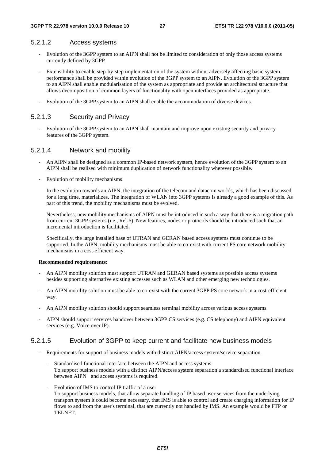### 5.2.1.2 Access systems

- Evolution of the 3GPP system to an AIPN shall not be limited to consideration of only those access systems currently defined by 3GPP.
- Extensibility to enable step-by-step implementation of the system without adversely affecting basic system performance shall be provided within evolution of the 3GPP system to an AIPN. Evolution of the 3GPP system to an AIPN shall enable modularisation of the system as appropriate and provide an architectural structure that allows decomposition of common layers of functionality with open interfaces provided as appropriate.
- Evolution of the 3GPP system to an AIPN shall enable the accommodation of diverse devices.

### 5.2.1.3 Security and Privacy

- Evolution of the 3GPP system to an AIPN shall maintain and improve upon existing security and privacy features of the 3GPP system.

### 5.2.1.4 Network and mobility

- An AIPN shall be designed as a common IP-based network system, hence evolution of the 3GPP system to an AIPN shall be realised with minimum duplication of network functionality wherever possible.
- Evolution of mobility mechanisms

 In the evolution towards an AIPN, the integration of the telecom and datacom worlds, which has been discussed for a long time, materializes. The integration of WLAN into 3GPP systems is already a good example of this. As part of this trend, the mobility mechanisms must be evolved.

 Nevertheless, new mobility mechanisms of AIPN must be introduced in such a way that there is a migration path from current 3GPP systems (i.e., Rel-6). New features, nodes or protocols should be introduced such that an incremental introduction is facilitated.

 Specifically, the large installed base of UTRAN and GERAN based access systems must continue to be supported. In the AIPN, mobility mechanisms must be able to co-exist with current PS core network mobility mechanisms in a cost-efficient way.

#### **Recommended requirements:**

- An AIPN mobility solution must support UTRAN and GERAN based systems as possible access systems besides supporting alternative existing accesses such as WLAN and other emerging new technologies.
- An AIPN mobility solution must be able to co-exist with the current 3GPP PS core network in a cost-efficient way.
- An AIPN mobility solution should support seamless terminal mobility across various access systems.
- AIPN should support services handover between 3GPP CS services (e.g. CS telephony) and AIPN equivalent services (e.g. Voice over IP).

#### 5.2.1.5 Evolution of 3GPP to keep current and facilitate new business models

- Requirements for support of business models with distinct AIPN/access system/service separation
	- Standardised functional interface between the AIPN and access systems: To support business models with a distinct AIPN/access system separation a standardised functional interface between AIPN and access systems is required.
	- Evolution of IMS to control IP traffic of a user To support business models, that allow separate handling of IP based user services from the underlying transport system it could become necessary, that IMS is able to control and create charging information for IP flows to and from the user's terminal, that are currently not handled by IMS. An example would be FTP or TELNET.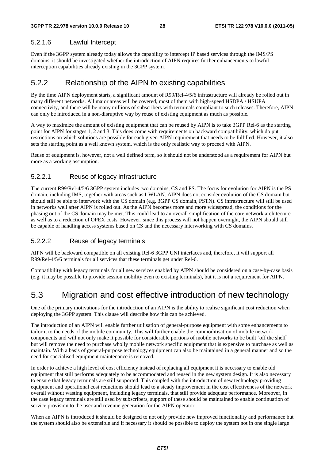### 5.2.1.6 Lawful Intercept

Even if the 3GPP system already today allows the capability to intercept IP based services through the IMS/PS domains, it should be investigated whether the introduction of AIPN requires further enhancements to lawful interception capabilities already existing in the 3GPP system.

### 5.2.2 Relationship of the AIPN to existing capabilities

By the time AIPN deployment starts, a significant amount of R99/Rel-4/5/6 infrastructure will already be rolled out in many different networks. All major areas will be covered, most of them with high-speed HSDPA / HSUPA connectivity, and there will be many millions of subscribers with terminals compliant to such releases. Therefore, AIPN can only be introduced in a non-disruptive way by reuse of existing equipment as much as possible.

A way to maximize the amount of existing equipment that can be reused by AIPN is to take 3GPP Rel-6 as the starting point for AIPN for stages 1, 2 and 3. This does come with requirements on backward compatibility, which do put restrictions on which solutions are possible for each given AIPN requirement that needs to be fulfilled. However, it also sets the starting point as a well known system, which is the only realistic way to proceed with AIPN.

Reuse of equipment is, however, not a well defined term, so it should not be understood as a requirement for AIPN but more as a working assumption.

### 5.2.2.1 Reuse of legacy infrastructure

The current R99/Rel-4/5/6 3GPP system includes two domains, CS and PS. The focus for evolution for AIPN is the PS domain, including IMS, together with areas such as I-WLAN. AIPN does not consider evolution of the CS domain but should still be able to interwork with the CS domain (e.g. 3GPP CS domain, PSTN). CS infrastructure will still be used in networks well after AIPN is rolled out. As the AIPN becomes more and more widespread, the conditions for the phasing out of the CS domain may be met. This could lead to an overall simplification of the core network architecture as well as to a reduction of OPEX costs. However, since this process will not happen overnight, the AIPN should still be capable of handling access systems based on CS and the necessary interworking with CS domains.

### 5.2.2.2 Reuse of legacy terminals

AIPN will be backward compatible on all existing Rel-6 3GPP UNI interfaces and, therefore, it will support all R99/Rel-4/5/6 terminals for all services that these terminals get under Rel-6.

Compatibility with legacy terminals for all new services enabled by AIPN should be considered on a case-by-case basis (e.g. it may be possible to provide session mobility even to existing terminals), but it is not a requirement for AIPN.

## 5.3 Migration and cost effective introduction of new technology

One of the primary motivations for the introduction of an AIPN is the ability to realise significant cost reduction when deploying the 3GPP system. This clause will describe how this can be achieved.

The introduction of an AIPN will enable further utilisation of general-purpose equipment with some enhancements to tailor it to the needs of the mobile community. This will further enable the commoditisation of mobile network components and will not only make it possible for considerable portions of mobile networks to be built `off the shelf` but will remove the need to purchase wholly mobile network specific equipment that is expensive to purchase as well as maintain. With a basis of general-purpose technology equipment can also be maintained in a general manner and so the need for specialised equipment maintenance is removed.

In order to achieve a high level of cost efficiency instead of replacing all equipment it is necessary to enable old equipment that still performs adequately to be accommodated and reused in the new system design. It is also necessary to ensure that legacy terminals are still supported. This coupled with the introduction of new technology providing equipment and operational cost reductions should lead to a steady improvement in the cost effectiveness of the network overall without wasting equipment, including legacy terminals, that still provide adequate performance. Moreover, in the case legacy terminals are still used by subscribers, support of these should be maintained to enable continuation of service provision to the user and revenue generation for the AIPN operator.

When an AIPN is introduced it should be designed to not only provide new improved functionality and performance but the system should also be extensible and if necessary it should be possible to deploy the system not in one single large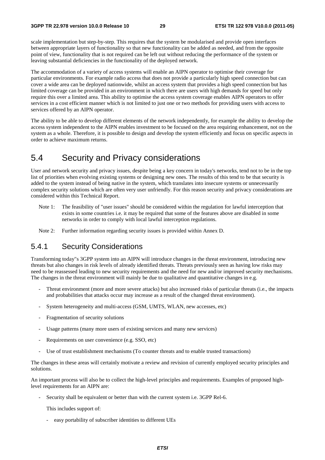scale implementation but step-by-step. This requires that the system be modularised and provide open interfaces between appropriate layers of functionality so that new functionality can be added as needed, and from the opposite point of view, functionality that is not required can be left out without reducing the performance of the system or leaving substantial deficiencies in the functionality of the deployed network.

The accommodation of a variety of access systems will enable an AIPN operator to optimise their coverage for particular environments. For example radio access that does not provide a particularly high speed connection but can cover a wide area can be deployed nationwide, whilst an access system that provides a high speed connection but has limited coverage can be provided in an environment in which there are users with high demands for speed but only require this over a limited area. This ability to optimise the access system coverage enables AIPN operators to offer services in a cost efficient manner which is not limited to just one or two methods for providing users with access to services offered by an AIPN operator.

The ability to be able to develop different elements of the network independently, for example the ability to develop the access system independent to the AIPN enables investment to be focused on the area requiring enhancement, not on the system as a whole. Therefore, it is possible to design and develop the system efficiently and focus on specific aspects in order to achieve maximum returns.

## 5.4 Security and Privacy considerations

User and network security and privacy issues, despite being a key concern in today's networks, tend not to be in the top list of priorities when evolving existing systems or designing new ones. The results of this tend to be that security is added to the system instead of being native in the system, which translates into insecure systems or unnecessarily complex security solutions which are often very user unfriendly. For this reason security and privacy considerations are considered within this Technical Report.

- Note 1: The feasibility of "user issues" should be considered within the regulation for lawful interception that exists in some countries i.e. it may be required that some of the features above are disabled in some networks in order to comply with local lawful interception regulations.
- Note 2: Further information regarding security issues is provided within Annex D.

### 5.4.1 Security Considerations

Transforming today"s 3GPP system into an AIPN will introduce changes in the threat environment, introducing new threats but also changes in risk levels of already identified threats. Threats previously seen as having low risks may need to be reassessed leading to new security requirements and the need for new and/or improved security mechanisms. The changes in the threat environment will mainly be due to qualitative and quantitative changes in e.g.

- Threat environment (more and more severe attacks) but also increased risks of particular threats (i.e., the impacts and probabilities that attacks occur may increase as a result of the changed threat environment).
- System heterogeneity and multi-access (GSM, UMTS, WLAN, new accesses, etc)
- Fragmentation of security solutions
- Usage patterns (many more users of existing services and many new services)
- Requirements on user convenience (e.g. SSO, etc)
- Use of trust establishment mechanisms (To counter threats and to enable trusted transactions)

The changes in these areas will certainly motivate a review and revision of currently employed security principles and solutions.

An important process will also be to collect the high-level principles and requirements. Examples of proposed highlevel requirements for an AIPN are:

Security shall be equivalent or better than with the current system i.e. 3GPP Rel-6.

This includes support of:

- easy portability of subscriber identities to different UEs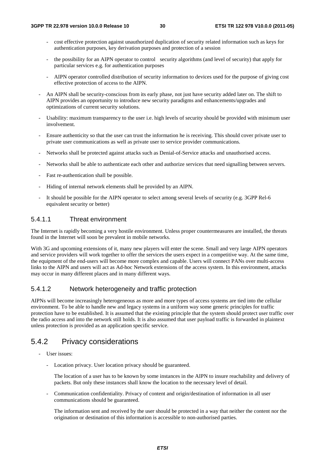- cost effective protection against unauthorized duplication of security related information such as keys for authentication purposes, key derivation purposes and protection of a session
- the possibility for an AIPN operator to control security algorithms (and level of security) that apply for particular services e.g. for authentication purposes
- AIPN operator controlled distribution of security information to devices used for the purpose of giving cost effective protection of access to the AIPN.
- An AIPN shall be security-conscious from its early phase, not just have security added later on. The shift to AIPN provides an opportunity to introduce new security paradigms and enhancements/upgrades and optimizations of current security solutions.
- Usability: maximum transparency to the user i.e. high levels of security should be provided with minimum user involvement.
- Ensure authenticity so that the user can trust the information he is receiving. This should cover private user to private user communications as well as private user to service provider communications.
- Networks shall be protected against attacks such as Denial-of-Service attacks and unauthorised access.
- Networks shall be able to authenticate each other and authorize services that need signalling between servers.
- Fast re-authentication shall be possible.
- Hiding of internal network elements shall be provided by an AIPN.
- It should be possible for the AIPN operator to select among several levels of security (e.g. 3GPP Rel-6 equivalent security or better)

### 5.4.1.1 Threat environment

The Internet is rapidly becoming a very hostile environment. Unless proper countermeasures are installed, the threats found in the Internet will soon be prevalent in mobile networks.

With 3G and upcoming extensions of it, many new players will enter the scene. Small and very large AIPN operators and service providers will work together to offer the services the users expect in a competitive way. At the same time, the equipment of the end-users will become more complex and capable. Users will connect PANs over multi-access links to the AIPN and users will act as Ad-hoc Network extensions of the access system. In this environment, attacks may occur in many different places and in many different ways.

### 5.4.1.2 Network heterogeneity and traffic protection

AIPNs will become increasingly heterogeneous as more and more types of access systems are tied into the cellular environment. To be able to handle new and legacy systems in a uniform way some generic principles for traffic protection have to be established. It is assumed that the existing principle that the system should protect user traffic over the radio access and into the network still holds. It is also assumed that user payload traffic is forwarded in plaintext unless protection is provided as an application specific service.

### 5.4.2 Privacy considerations

- User issues:
	- Location privacy. User location privacy should be guaranteed.

 The location of a user has to be known by some instances in the AIPN to insure reachability and delivery of packets. But only these instances shall know the location to the necessary level of detail.

- Communication confidentiality. Privacy of content and origin/destination of information in all user communications should be guaranteed.

 The information sent and received by the user should be protected in a way that neither the content nor the origination or destination of this information is accessible to non-authorised parties.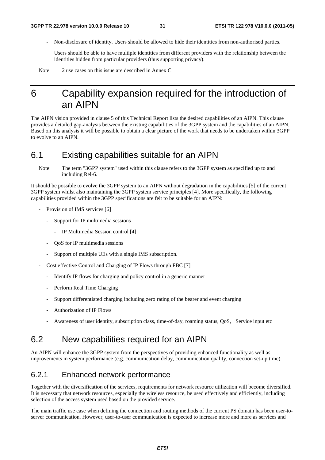- Non-disclosure of identity. Users should be allowed to hide their identities from non-authorised parties.

 Users should be able to have multiple identities from different providers with the relationship between the identities hidden from particular providers (thus supporting privacy).

Note: 2 use cases on this issue are described in Annex C.

## 6 Capability expansion required for the introduction of an AIPN

The AIPN vision provided in clause 5 of this Technical Report lists the desired capabilities of an AIPN. This clause provides a detailed gap-analysis between the existing capabilities of the 3GPP system and the capabilities of an AIPN. Based on this analysis it will be possible to obtain a clear picture of the work that needs to be undertaken within 3GPP to evolve to an AIPN.

### 6.1 Existing capabilities suitable for an AIPN

Note: The term "3GPP system" used within this clause refers to the 3GPP system as specified up to and including Rel-6.

It should be possible to evolve the 3GPP system to an AIPN without degradation in the capabilities [5] of the current 3GPP system whilst also maintaining the 3GPP system service principles [4]. More specifically, the following capabilities provided within the 3GPP specifications are felt to be suitable for an AIPN:

- Provision of IMS services [6]
	- Support for IP multimedia sessions
		- IP Multimedia Session control [4]
	- QoS for IP multimedia sessions
	- Support of multiple UEs with a single IMS subscription.
- Cost effective Control and Charging of IP Flows through FBC [7]
	- Identify IP flows for charging and policy control in a generic manner
	- Perform Real Time Charging
	- Support differentiated charging including zero rating of the bearer and event charging
	- Authorization of IP Flows
	- Awareness of user identity, subscription class, time-of-day, roaming status, QoS, Service input etc

## 6.2 New capabilities required for an AIPN

An AIPN will enhance the 3GPP system from the perspectives of providing enhanced functionality as well as improvements in system performance (e.g. communication delay, communication quality, connection set-up time).

### 6.2.1 Enhanced network performance

Together with the diversification of the services, requirements for network resource utilization will become diversified. It is necessary that network resources, especially the wireless resource, be used effectively and efficiently, including selection of the access system used based on the provided service.

The main traffic use case when defining the connection and routing methods of the current PS domain has been user-toserver communication. However, user-to-user communication is expected to increase more and more as services and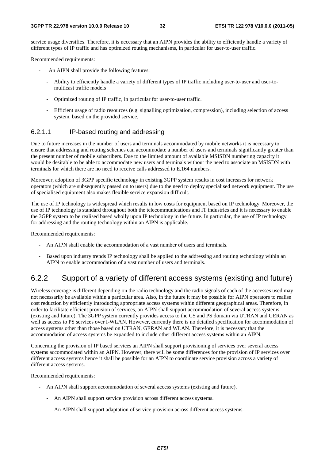service usage diversifies. Therefore, it is necessary that an AIPN provides the ability to efficiently handle a variety of different types of IP traffic and has optimized routing mechanisms, in particular for user-to-user traffic.

Recommended requirements:

- An AIPN shall provide the following features:
	- Ability to efficiently handle a variety of different types of IP traffic including user-to-user and user-tomulticast traffic models
	- Optimized routing of IP traffic, in particular for user-to-user traffic.
	- Efficient usage of radio resources (e.g. signalling optimization, compression), including selection of access system, based on the provided service.

### 6.2.1.1 IP-based routing and addressing

Due to future increases in the number of users and terminals accommodated by mobile networks it is necessary to ensure that addressing and routing schemes can accommodate a number of users and terminals significantly greater than the present number of mobile subscribers. Due to the limited amount of available MSISDN numbering capacity it would be desirable to be able to accommodate new users and terminals without the need to associate an MSISDN with terminals for which there are no need to receive calls addressed to E.164 numbers.

Moreover, adoption of 3GPP specific technology in existing 3GPP system results in cost increases for network operators (which are subsequently passed on to users) due to the need to deploy specialised network equipment. The use of specialised equipment also makes flexible service expansion difficult.

The use of IP technology is widespread which results in low costs for equipment based on IP technology. Moreover, the use of IP technology is standard throughout both the telecommunications and IT industries and it is necessary to enable the 3GPP system to be realised based wholly upon IP technology in the future. In particular, the use of IP technology for addressing and the routing technology within an AIPN is applicable.

Recommended requirements:

- An AIPN shall enable the accommodation of a vast number of users and terminals.
- Based upon industry trends IP technology shall be applied to the addressing and routing technology within an AIPN to enable accommodation of a vast number of users and terminals.

### 6.2.2 Support of a variety of different access systems (existing and future)

Wireless coverage is different depending on the radio technology and the radio signals of each of the accesses used may not necessarily be available within a particular area. Also, in the future it may be possible for AIPN operators to realise cost reduction by efficiently introducing appropriate access systems within different geographical areas. Therefore, in order to facilitate efficient provision of services, an AIPN shall support accommodation of several access systems (existing and future). The 3GPP system currently provides access to the CS and PS domain via UTRAN and GERAN as well as access to PS services over I-WLAN. However, currently there is no detailed specification for accommodation of access systems other than those based on UTRAN, GERAN and WLAN. Therefore, it is necessary that the accommodation of access systems be expanded to include other different access systems within an AIPN.

Concerning the provision of IP based services an AIPN shall support provisioning of services over several access systems accommodated within an AIPN. However, there will be some differences for the provision of IP services over different access systems hence it shall be possible for an AIPN to coordinate service provision across a variety of different access systems.

Recommended requirements:

- An AIPN shall support accommodation of several access systems (existing and future).
	- An AIPN shall support service provision across different access systems.
	- An AIPN shall support adaptation of service provision across different access systems.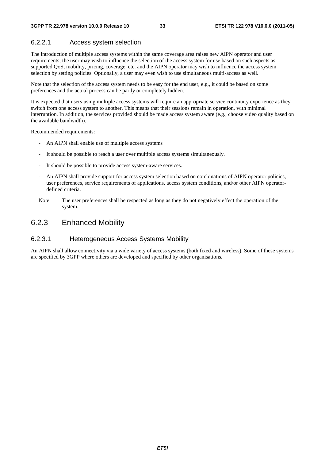### 6.2.2.1 Access system selection

The introduction of multiple access systems within the same coverage area raises new AIPN operator and user requirements; the user may wish to influence the selection of the access system for use based on such aspects as supported QoS, mobility, pricing, coverage, etc. and the AIPN operator may wish to influence the access system selection by setting policies. Optionally, a user may even wish to use simultaneous multi-access as well.

Note that the selection of the access system needs to be easy for the end user, e.g., it could be based on some preferences and the actual process can be partly or completely hidden.

It is expected that users using multiple access systems will require an appropriate service continuity experience as they switch from one access system to another. This means that their sessions remain in operation, with minimal interruption. In addition, the services provided should be made access system aware (e.g., choose video quality based on the available bandwidth).

Recommended requirements:

- An AIPN shall enable use of multiple access systems
- It should be possible to reach a user over multiple access systems simultaneously.
- It should be possible to provide access system-aware services.
- An AIPN shall provide support for access system selection based on combinations of AIPN operator policies, user preferences, service requirements of applications, access system conditions, and/or other AIPN operatordefined criteria.
- Note: The user preferences shall be respected as long as they do not negatively effect the operation of the system.

### 6.2.3 Enhanced Mobility

### 6.2.3.1 Heterogeneous Access Systems Mobility

An AIPN shall allow connectivity via a wide variety of access systems (both fixed and wireless). Some of these systems are specified by 3GPP where others are developed and specified by other organisations.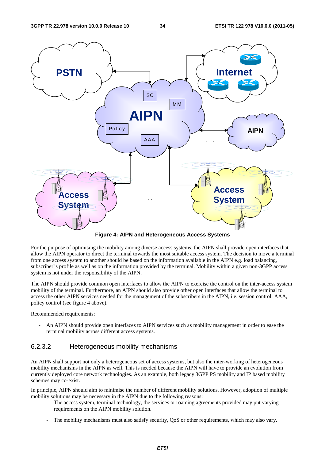

**Figure 4: AIPN and Heterogeneous Access Systems** 

For the purpose of optimising the mobility among diverse access systems, the AIPN shall provide open interfaces that allow the AIPN operator to direct the terminal towards the most suitable access system. The decision to move a terminal from one access system to another should be based on the information available in the AIPN e.g. load balancing, subscriber"s profile as well as on the information provided by the terminal. Mobility within a given non-3GPP access system is not under the responsibility of the AIPN.

The AIPN should provide common open interfaces to allow the AIPN to exercise the control on the inter-access system mobility of the terminal. Furthermore, an AIPN should also provide other open interfaces that allow the terminal to access the other AIPN services needed for the management of the subscribers in the AIPN, i.e. session control, AAA, policy control (see figure 4 above).

Recommended requirements:

An AIPN should provide open interfaces to AIPN services such as mobility management in order to ease the terminal mobility across different access systems.

### 6.2.3.2 Heterogeneous mobility mechanisms

An AIPN shall support not only a heterogeneous set of access systems, but also the inter-working of heterogeneous mobility mechanisms in the AIPN as well. This is needed because the AIPN will have to provide an evolution from currently deployed core network technologies. As an example, both legacy 3GPP PS mobility and IP based mobility schemes may co-exist.

In principle, AIPN should aim to minimise the number of different mobility solutions. However, adoption of multiple mobility solutions may be necessary in the AIPN due to the following reasons:

- The access system, terminal technology, the services or roaming agreements provided may put varying requirements on the AIPN mobility solution.
- The mobility mechanisms must also satisfy security, QoS or other requirements, which may also vary.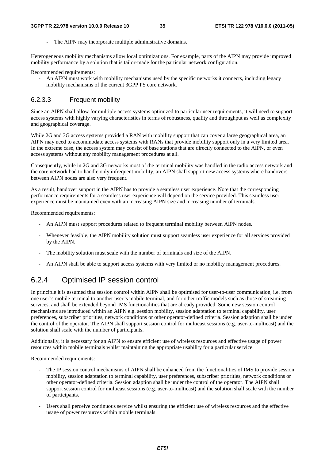The AIPN may incorporate multiple administrative domains.

Heterogeneous mobility mechanisms allow local optimizations. For example, parts of the AIPN may provide improved mobility performance by a solution that is tailor-made for the particular network configuration.

Recommended requirements:

- An AIPN must work with mobility mechanisms used by the specific networks it connects, including legacy mobility mechanisms of the current 3GPP PS core network.

### 6.2.3.3 Frequent mobility

Since an AIPN shall allow for multiple access systems optimized to particular user requirements, it will need to support access systems with highly varying characteristics in terms of robustness, quality and throughput as well as complexity and geographical coverage.

While 2G and 3G access systems provided a RAN with mobility support that can cover a large geographical area, an AIPN may need to accommodate access systems with RANs that provide mobility support only in a very limited area. In the extreme case, the access system may consist of base stations that are directly connected to the AIPN, or even access systems without any mobility management procedures at all.

Consequently, while in 2G and 3G networks most of the terminal mobility was handled in the radio access network and the core network had to handle only infrequent mobility, an AIPN shall support new access systems where handovers between AIPN nodes are also very frequent.

As a result, handover support in the AIPN has to provide a seamless user experience. Note that the corresponding performance requirements for a seamless user experience will depend on the service provided. This seamless user experience must be maintained even with an increasing AIPN size and increasing number of terminals.

Recommended requirements:

- An AIPN must support procedures related to frequent terminal mobility between AIPN nodes.
- Whenever feasible, the AIPN mobility solution must support seamless user experience for all services provided by the AIPN.
- The mobility solution must scale with the number of terminals and size of the AIPN.
- An AIPN shall be able to support access systems with very limited or no mobility management procedures.

### 6.2.4 Optimised IP session control

In principle it is assumed that session control within AIPN shall be optimised for user-to-user communication, i.e. from one user"s mobile terminal to another user"s mobile terminal, and for other traffic models such as those of streaming services, and shall be extended beyond IMS functionalities that are already provided. Some new session control mechanisms are introduced within an AIPN e.g. session mobility, session adaptation to terminal capability, user preferences, subscriber priorities, network conditions or other operator-defined criteria. Session adaption shall be under the control of the operator. The AIPN shall support session control for multicast sessions (e.g. user-to-multicast) and the solution shall scale with the number of participants.

Additionally, it is necessary for an AIPN to ensure efficient use of wireless resources and effective usage of power resources within mobile terminals whilst maintaining the appropriate usability for a particular service.

Recommended requirements:

- The IP session control mechanisms of AIPN shall be enhanced from the functionalities of IMS to provide session mobility, session adaptation to terminal capability, user preferences, subscriber priorities, network conditions or other operator-defined criteria. Session adaption shall be under the control of the operator. The AIPN shall support session control for multicast sessions (e.g. user-to-multicast) and the solution shall scale with the number of participants.
- Users shall perceive continuous service whilst ensuring the efficient use of wireless resources and the effective usage of power resources within mobile terminals.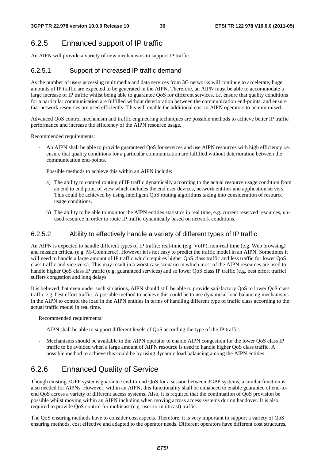## 6.2.5 Enhanced support of IP traffic

An AIPN will provide a variety of new mechanisms to support IP traffic.

### 6.2.5.1 Support of increased IP traffic demand

As the number of users accessing multimedia and data services from 3G networks will continue to accelerate, huge amounts of IP traffic are expected to be generated in the AIPN. Therefore, an AIPN must be able to accommodate a large increase of IP traffic whilst being able to guarantee QoS for different services, i.e. ensure that quality conditions for a particular communication are fulfilled without deterioration between the communication end-points, and ensure that network resources are used efficiently. This will enable the additional cost to AIPN operators to be minimised.

Advanced QoS control mechanism and traffic engineering techniques are possible methods to achieve better IP traffic performance and increase the efficiency of the AIPN resource usage.

Recommended requirements:

An AIPN shall be able to provide guaranteed OoS for services and use AIPN resources with high efficiency i.e. ensure that quality conditions for a particular communication are fulfilled without deterioration between the communication end-points.

Possible methods to achieve this within an AIPN include:

- a) The ability to control routing of IP traffic dynamically according to the actual resource usage condition from an end to end point of view which includes the end user devices, network entities and application servers. This could be achieved by using intelligent QoS routing algorithms taking into consideration of resource usage conditions.
- b) The ability to be able to monitor the AIPN entities statistics in real time, e.g. current reserved resources, unused resource in order to route IP traffic dynamically based on network conditions.

### 6.2.5.2 Ability to effectively handle a variety of different types of IP traffic

An AIPN is expected to handle different types of IP traffic: real-time (e.g. VoIP), non-real time (e.g. Web browsing) and mission critical (e.g. M-Commerce). However it is not easy to predict the traffic model in an AIPN. Sometimes it will need to handle a large amount of IP traffic which requires higher QoS class traffic and less traffic for lower QoS class traffic and vice versa. This may result in a worst case scenario in which most of the AIPN resources are used to handle higher QoS class IP traffic (e.g. guaranteed services) and so lower QoS class IP traffic (e.g. best effort traffic) suffers congestion and long delays.

It is believed that even under such situations, AIPN should still be able to provide satisfactory QoS to lower QoS class traffic e.g. best effort traffic. A possible method to achieve this could be to use dynamical load balancing mechanisms in the AIPN to control the load in the AIPN entities in terms of handling different type of traffic class according to the actual traffic model in real time.

Recommended requirements:

- AIPN shall be able to support different levels of QoS according the type of the IP traffic.
- Mechanisms should be available to the AIPN operator to enable AIPN congestion for the lower QoS class IP traffic to be avoided when a large amount of AIPN resource is used to handle higher QoS class traffic. A possible method to achieve this could be by using dynamic load balancing among the AIPN entities.

### 6.2.6 Enhanced Quality of Service

Though existing 3GPP systems guarantee end-to-end QoS for a session between 3GPP systems, a similar function is also needed for AIPNs. However, within an AIPN, this functionality shall be enhanced to enable guarantee of end-toend QoS across a variety of different access systems. Also, it is required that the continuation of QoS provision be possible whilst moving within an AIPN including when moving across access systems during handover. It is also required to provide QoS control for multicast (e.g. user-to-multicast) traffic.

The QoS ensuring methods have to consider cost aspects. Therefore, it is very important to support a variety of QoS ensuring methods, cost effective and adapted to the operator needs. Different operators have different cost structures,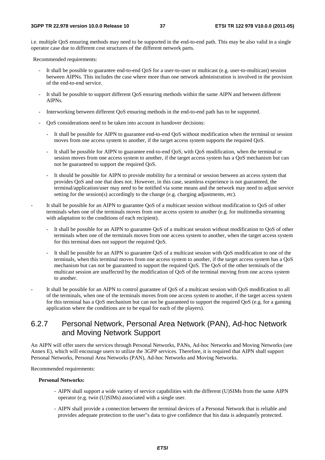i.e. multiple QoS ensuring methods may need to be supported in the end-to-end path. This may be also valid in a single operator case due to different cost structures of the different network parts.

Recommended requirements:

- It shall be possible to guarantee end-to-end QoS for a user-to-user or multicast (e.g. user-to-multicast) session between AIPNs. This includes the case where more than one network administration is involved in the provision of the end-to-end service.
- It shall be possible to support different QoS ensuring methods within the same AIPN and between different AIPNs.
- Interworking between different QoS ensuring methods in the end-to-end path has to be supported.
- QoS considerations need to be taken into account in handover decisions:
	- It shall be possible for AIPN to guarantee end-to-end QoS without modification when the terminal or session moves from one access system to another, if the target access system supports the required QoS.
	- It shall be possible for AIPN to guarantee end-to-end QoS, with QoS modification, when the terminal or session moves from one access system to another, if the target access system has a QoS mechanism but can not be guaranteed to support the required QoS.
	- It should be possible for AIPN to provide mobility for a terminal or session between an access system that provides QoS and one that does not. However, in this case, seamless experience is not guaranteed, the terminal/application/user may need to be notified via some means and the network may need to adjust service setting for the session(s) accordingly to the change (e.g. charging adjustments, etc).
- It shall be possible for an AIPN to guarantee QoS of a multicast session without modification to QoS of other terminals when one of the terminals moves from one access system to another (e.g. for multimedia streaming with adaptation to the conditions of each recipient).
	- It shall be possible for an AIPN to guarantee QoS of a multicast session without modification to QoS of other terminals when one of the terminals moves from one access system to another, when the target access system for this terminal does not support the required QoS.
	- It shall be possible for an AIPN to guarantee OoS of a multicast session with OoS modification to one of the terminals, when this terminal moves from one access system to another, if the target access system has a QoS mechanism but can not be guaranteed to support the required QoS. The QoS of the other terminals of the multicast session are unaffected by the modification of QoS of the terminal moving from one access system to another.
- It shall be possible for an AIPN to control guarantee of QoS of a multicast session with QoS modification to all of the terminals, when one of the terminals moves from one access system to another, if the target access system for this terminal has a QoS mechanism but can not be guaranteed to support the required QoS (e.g. for a gaming application where the conditions are to be equal for each of the players).

### 6.2.7 Personal Network, Personal Area Network (PAN), Ad-hoc Network and Moving Network Support

An AIPN will offer users the services through Personal Networks, PANs, Ad-hoc Networks and Moving Networks (see Annex E), which will encourage users to utilize the 3GPP services. Therefore, it is required that AIPN shall support Personal Networks, Personal Area Networks (PAN), Ad-hoc Networks and Moving Networks.

Recommended requirements:

#### **Personal Networks:**

- AIPN shall support a wide variety of service capabilities with the different (U)SIMs from the same AIPN operator (e.g. twin (U)SIMs) associated with a single user.
- AIPN shall provide a connection between the terminal devices of a Personal Network that is reliable and provides adequate protection to the user"s data to give confidence that his data is adequately protected.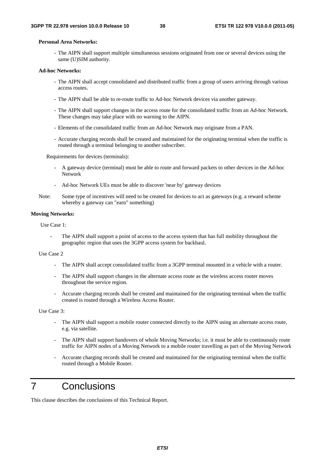#### **Personal Area Networks:**

- The AIPN shall support multiple simultaneous sessions originated from one or several devices using the same (U)SIM authority.

#### **Ad-hoc Networks:**

- The AIPN shall accept consolidated and distributed traffic from a group of users arriving through various access routes.
- The AIPN shall be able to re-route traffic to Ad-hoc Network devices via another gateway.
- The AIPN shall support changes in the access route for the consolidated traffic from an Ad-hoc Network. These changes may take place with no warning to the AIPN.
- Elements of the consolidated traffic from an Ad-hoc Network may originate from a PAN.
- Accurate charging records shall be created and maintained for the originating terminal when the traffic is routed through a terminal belonging to another subscriber.

Requirements for devices (terminals):

- A gateway device (terminal) must be able to route and forward packets to other devices in the Ad-hoc Network
- Ad-hoc Network UEs must be able to discover 'near by' gateway devices
- Note: Some type of incentives will need to be created for devices to act as gateways (e.g. a reward scheme whereby a gateway can "earn" something)

#### **Moving Networks:**

Use Case 1:

The AIPN shall support a point of access to the access system that has full mobility throughout the geographic region that uses the 3GPP access system for backhaul.

#### Use Case 2

- The AIPN shall accept consolidated traffic from a 3GPP terminal mounted in a vehicle with a router.
- The AIPN shall support changes in the alternate access route as the wireless access router moves throughout the service region.
- Accurate charging records shall be created and maintained for the originating terminal when the traffic created is routed through a Wireless Access Router.

Use Case 3:

- The AIPN shall support a mobile router connected directly to the AIPN using an alternate access route, e.g. via satellite.
- The AIPN shall support handovers of whole Moving Networks; i.e. it must be able to continuously route traffic for AIPN nodes of a Moving Network to a mobile router travelling as part of the Moving Network
- Accurate charging records shall be created and maintained for the originating terminal when the traffic routed through a Mobile Router.

## 7 Conclusions

This clause describes the conclusions of this Technical Report.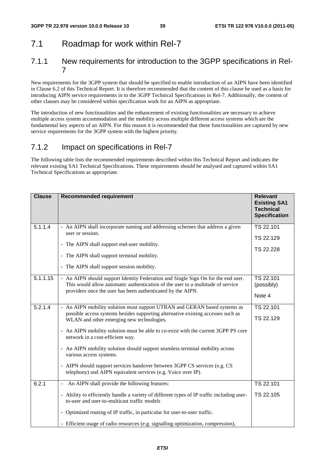## 7.1 Roadmap for work within Rel-7

### 7.1.1 New requirements for introduction to the 3GPP specifications in Rel-7

New requirements for the 3GPP system that should be specified to enable introduction of an AIPN have been identified in Clause 6.2 of this Technical Report. It is therefore recommended that the content of this clause be used as a basis for introducing AIPN service requirements in to the 3GPP Technical Specifications in Rel-7. Additionally, the content of other clauses may be considered within specification work for an AIPN as appropriate.

The introduction of new functionalities and the enhancement of existing functionalities are necessary to achieve multiple access system accommodation and the mobility across multiple different access systems which are the fundamental key aspects of an AIPN. For this reason it is recommended that these functionalities are captured by new service requirements for the 3GPP system with the highest priority.

### 7.1.2 Impact on specifications in Rel-7

The following table lists the recommended requirements described within this Technical Report and indicates the relevant existing SA1 Technical Specifications. These requirements should be analysed and captured within SA1 Technical Specifications as appropriate.

| <b>Clause</b> | <b>Recommended requirement</b>                                                                                                                                                                                                                                                                                                                                                                                                                                                                                                                                                                | <b>Relevant</b><br><b>Existing SA1</b><br><b>Technical</b><br><b>Specification</b> |
|---------------|-----------------------------------------------------------------------------------------------------------------------------------------------------------------------------------------------------------------------------------------------------------------------------------------------------------------------------------------------------------------------------------------------------------------------------------------------------------------------------------------------------------------------------------------------------------------------------------------------|------------------------------------------------------------------------------------|
| 5.1.1.4       | - An AIPN shall incorporate naming and addressing schemes that address a given<br>user or session.<br>- The AIPN shall support end-user mobility.<br>- The AIPN shall support terminal mobility.<br>- The AIPN shall support session mobility.                                                                                                                                                                                                                                                                                                                                                | TS 22.101<br>TS 22.129<br>TS 22.228                                                |
| 5.1.1.15      | - An AIPN should support Identity Federation and Single Sign On for the end user.<br>This would allow automatic authentication of the user to a multitude of service<br>providers once the user has been authenticated by the AIPN.                                                                                                                                                                                                                                                                                                                                                           | TS 22.101<br>(possibly)<br>Note 4                                                  |
| 5.2.1.4       | - An AIPN mobility solution must support UTRAN and GERAN based systems as<br>possible access systems besides supporting alternative existing accesses such as<br>WLAN and other emerging new technologies.<br>- An AIPN mobility solution must be able to co-exist with the current 3GPP PS core<br>network in a cost-efficient way.<br>- An AIPN mobility solution should support seamless terminal mobility across<br>various access systems.<br>- AIPN should support services handover between 3GPP CS services (e.g. CS<br>telephony) and AIPN equivalent services (e.g. Voice over IP). | TS 22.101<br>TS 22.129                                                             |
| 6.2.1         | An AIPN shall provide the following features:<br>- Ability to efficiently handle a variety of different types of IP traffic including user-<br>to-user and user-to-multicast traffic models<br>- Optimized routing of IP traffic, in particular for user-to-user traffic.<br>- Efficient usage of radio resources (e.g. signalling optimization, compression),                                                                                                                                                                                                                                | TS 22.101<br>TS 22.105                                                             |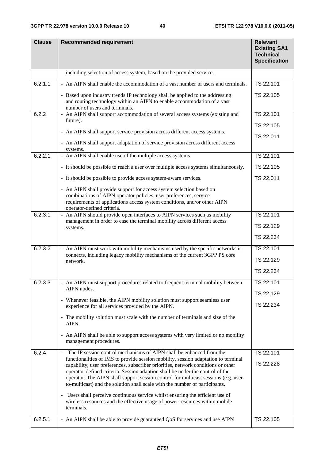| <b>Clause</b> | <b>Recommended requirement</b>                                                                                                                                                                                                                                                                                                                                                                                                | <b>Relevant</b><br><b>Existing SA1</b><br><b>Technical</b><br><b>Specification</b> |
|---------------|-------------------------------------------------------------------------------------------------------------------------------------------------------------------------------------------------------------------------------------------------------------------------------------------------------------------------------------------------------------------------------------------------------------------------------|------------------------------------------------------------------------------------|
|               | including selection of access system, based on the provided service.                                                                                                                                                                                                                                                                                                                                                          |                                                                                    |
| 6.2.1.1       | - An AIPN shall enable the accommodation of a vast number of users and terminals.                                                                                                                                                                                                                                                                                                                                             | TS 22.101                                                                          |
|               | - Based upon industry trends IP technology shall be applied to the addressing<br>and routing technology within an AIPN to enable accommodation of a vast<br>number of users and terminals.                                                                                                                                                                                                                                    | TS 22.105                                                                          |
| 6.2.2         | - An AIPN shall support accommodation of several access systems (existing and<br>future).                                                                                                                                                                                                                                                                                                                                     | TS 22.101                                                                          |
|               |                                                                                                                                                                                                                                                                                                                                                                                                                               | TS 22.105                                                                          |
|               | - An AIPN shall support service provision across different access systems.                                                                                                                                                                                                                                                                                                                                                    | TS 22.011                                                                          |
|               | - An AIPN shall support adaptation of service provision across different access<br>systems.                                                                                                                                                                                                                                                                                                                                   |                                                                                    |
| 6.2.2.1       | - An AIPN shall enable use of the multiple access systems                                                                                                                                                                                                                                                                                                                                                                     | TS 22.101                                                                          |
|               | - It should be possible to reach a user over multiple access systems simultaneously.                                                                                                                                                                                                                                                                                                                                          | TS 22.105                                                                          |
|               | - It should be possible to provide access system-aware services.                                                                                                                                                                                                                                                                                                                                                              | TS 22.011                                                                          |
|               | - An AIPN shall provide support for access system selection based on<br>combinations of AIPN operator policies, user preferences, service<br>requirements of applications access system conditions, and/or other AIPN<br>operator-defined criteria.                                                                                                                                                                           |                                                                                    |
| 6.2.3.1       | - An AIPN should provide open interfaces to AIPN services such as mobility                                                                                                                                                                                                                                                                                                                                                    | TS 22.101                                                                          |
|               | management in order to ease the terminal mobility across different access<br>systems.                                                                                                                                                                                                                                                                                                                                         | TS 22.129                                                                          |
|               |                                                                                                                                                                                                                                                                                                                                                                                                                               | TS 22.234                                                                          |
| 6.2.3.2       | - An AIPN must work with mobility mechanisms used by the specific networks it                                                                                                                                                                                                                                                                                                                                                 | TS 22.101                                                                          |
|               | connects, including legacy mobility mechanisms of the current 3GPP PS core<br>network.                                                                                                                                                                                                                                                                                                                                        | TS 22.129                                                                          |
|               |                                                                                                                                                                                                                                                                                                                                                                                                                               | TS 22.234                                                                          |
| 6.2.3.3       | - An AIPN must support procedures related to frequent terminal mobility between                                                                                                                                                                                                                                                                                                                                               | TS 22.101                                                                          |
|               | AIPN nodes.                                                                                                                                                                                                                                                                                                                                                                                                                   | TS 22.129                                                                          |
|               | - Whenever feasible, the AIPN mobility solution must support seamless user<br>experience for all services provided by the AIPN.                                                                                                                                                                                                                                                                                               | TS 22.234                                                                          |
|               | - The mobility solution must scale with the number of terminals and size of the<br>AIPN.                                                                                                                                                                                                                                                                                                                                      |                                                                                    |
|               | - An AIPN shall be able to support access systems with very limited or no mobility<br>management procedures.                                                                                                                                                                                                                                                                                                                  |                                                                                    |
| 6.2.4         | The IP session control mechanisms of AIPN shall be enhanced from the                                                                                                                                                                                                                                                                                                                                                          | TS 22.101                                                                          |
|               | functionalities of IMS to provide session mobility, session adaptation to terminal<br>capability, user preferences, subscriber priorities, network conditions or other<br>operator-defined criteria. Session adaption shall be under the control of the<br>operator. The AIPN shall support session control for multicast sessions (e.g. user-<br>to-multicast) and the solution shall scale with the number of participants. | TS 22.228                                                                          |
|               | - Users shall perceive continuous service whilst ensuring the efficient use of<br>wireless resources and the effective usage of power resources within mobile<br>terminals.                                                                                                                                                                                                                                                   |                                                                                    |
| 6.2.5.1       | - An AIPN shall be able to provide guaranteed QoS for services and use AIPN                                                                                                                                                                                                                                                                                                                                                   | TS 22.105                                                                          |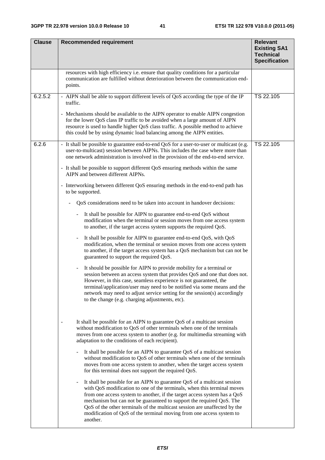| <b>Clause</b> | <b>Recommended requirement</b>                                                                                                                                                                                                                                                                                                                                                                                                                                                             | <b>Relevant</b><br><b>Existing SA1</b><br><b>Technical</b><br><b>Specification</b> |
|---------------|--------------------------------------------------------------------------------------------------------------------------------------------------------------------------------------------------------------------------------------------------------------------------------------------------------------------------------------------------------------------------------------------------------------------------------------------------------------------------------------------|------------------------------------------------------------------------------------|
|               | resources with high efficiency i.e. ensure that quality conditions for a particular<br>communication are fulfilled without deterioration between the communication end-<br>points.                                                                                                                                                                                                                                                                                                         |                                                                                    |
| 6.2.5.2       | - AIPN shall be able to support different levels of QoS according the type of the IP<br>traffic.                                                                                                                                                                                                                                                                                                                                                                                           | TS 22.105                                                                          |
|               | - Mechanisms should be available to the AIPN operator to enable AIPN congestion<br>for the lower QoS class IP traffic to be avoided when a large amount of AIPN<br>resource is used to handle higher QoS class traffic. A possible method to achieve<br>this could be by using dynamic load balancing among the AIPN entities.                                                                                                                                                             |                                                                                    |
| 6.2.6         | - It shall be possible to guarantee end-to-end QoS for a user-to-user or multicast (e.g.<br>user-to-multicast) session between AIPNs. This includes the case where more than<br>one network administration is involved in the provision of the end-to-end service.                                                                                                                                                                                                                         | TS 22.105                                                                          |
|               | - It shall be possible to support different QoS ensuring methods within the same<br>AIPN and between different AIPNs.                                                                                                                                                                                                                                                                                                                                                                      |                                                                                    |
|               | - Interworking between different QoS ensuring methods in the end-to-end path has<br>to be supported.                                                                                                                                                                                                                                                                                                                                                                                       |                                                                                    |
|               | QoS considerations need to be taken into account in handover decisions:                                                                                                                                                                                                                                                                                                                                                                                                                    |                                                                                    |
|               | It shall be possible for AIPN to guarantee end-to-end QoS without<br>$\blacksquare$<br>modification when the terminal or session moves from one access system<br>to another, if the target access system supports the required QoS.                                                                                                                                                                                                                                                        |                                                                                    |
|               | It shall be possible for AIPN to guarantee end-to-end QoS, with QoS<br>$\blacksquare$<br>modification, when the terminal or session moves from one access system<br>to another, if the target access system has a QoS mechanism but can not be<br>guaranteed to support the required QoS.                                                                                                                                                                                                  |                                                                                    |
|               | It should be possible for AIPN to provide mobility for a terminal or<br>session between an access system that provides QoS and one that does not.<br>However, in this case, seamless experience is not guaranteed, the<br>terminal/application/user may need to be notified via some means and the<br>network may need to adjust service setting for the session(s) accordingly<br>to the change (e.g. charging adjustments, etc).                                                         |                                                                                    |
|               | It shall be possible for an AIPN to guarantee QoS of a multicast session<br>without modification to QoS of other terminals when one of the terminals<br>moves from one access system to another (e.g. for multimedia streaming with<br>adaptation to the conditions of each recipient).                                                                                                                                                                                                    |                                                                                    |
|               | It shall be possible for an AIPN to guarantee QoS of a multicast session<br>without modification to QoS of other terminals when one of the terminals<br>moves from one access system to another, when the target access system<br>for this terminal does not support the required QoS.                                                                                                                                                                                                     |                                                                                    |
|               | It shall be possible for an AIPN to guarantee QoS of a multicast session<br>$\blacksquare$<br>with QoS modification to one of the terminals, when this terminal moves<br>from one access system to another, if the target access system has a QoS<br>mechanism but can not be guaranteed to support the required QoS. The<br>QoS of the other terminals of the multicast session are unaffected by the<br>modification of QoS of the terminal moving from one access system to<br>another. |                                                                                    |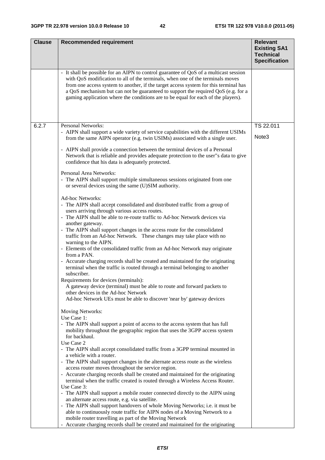| <b>Clause</b> | <b>Recommended requirement</b>                                                                                                                                                                                                                                                                                                                                                                                                            | <b>Relevant</b>                                                 |
|---------------|-------------------------------------------------------------------------------------------------------------------------------------------------------------------------------------------------------------------------------------------------------------------------------------------------------------------------------------------------------------------------------------------------------------------------------------------|-----------------------------------------------------------------|
|               |                                                                                                                                                                                                                                                                                                                                                                                                                                           | <b>Existing SA1</b><br><b>Technical</b><br><b>Specification</b> |
|               | - It shall be possible for an AIPN to control guarantee of QoS of a multicast session<br>with QoS modification to all of the terminals, when one of the terminals moves<br>from one access system to another, if the target access system for this terminal has<br>a QoS mechanism but can not be guaranteed to support the required QoS (e.g. for a<br>gaming application where the conditions are to be equal for each of the players). |                                                                 |
| 6.2.7         | Personal Networks:                                                                                                                                                                                                                                                                                                                                                                                                                        | TS 22.011                                                       |
|               | - AIPN shall support a wide variety of service capabilities with the different USIMs<br>from the same AIPN operator (e.g. twin USIMs) associated with a single user.                                                                                                                                                                                                                                                                      | Note3                                                           |
|               | - AIPN shall provide a connection between the terminal devices of a Personal<br>Network that is reliable and provides adequate protection to the user"s data to give<br>confidence that his data is adequately protected.                                                                                                                                                                                                                 |                                                                 |
|               | Personal Area Networks:<br>- The AIPN shall support multiple simultaneous sessions originated from one<br>or several devices using the same (U)SIM authority.                                                                                                                                                                                                                                                                             |                                                                 |
|               | Ad-hoc Networks:<br>- The AIPN shall accept consolidated and distributed traffic from a group of<br>users arriving through various access routes.<br>- The AIPN shall be able to re-route traffic to Ad-hoc Network devices via                                                                                                                                                                                                           |                                                                 |
|               | another gateway.<br>- The AIPN shall support changes in the access route for the consolidated<br>traffic from an Ad-hoc Network. These changes may take place with no<br>warning to the AIPN.                                                                                                                                                                                                                                             |                                                                 |
|               | - Elements of the consolidated traffic from an Ad-hoc Network may originate<br>from a PAN.                                                                                                                                                                                                                                                                                                                                                |                                                                 |
|               | - Accurate charging records shall be created and maintained for the originating<br>terminal when the traffic is routed through a terminal belonging to another<br>subscriber.                                                                                                                                                                                                                                                             |                                                                 |
|               | Requirements for devices (terminals):<br>A gateway device (terminal) must be able to route and forward packets to<br>other devices in the Ad-hoc Network                                                                                                                                                                                                                                                                                  |                                                                 |
|               | Ad-hoc Network UEs must be able to discover 'near by' gateway devices                                                                                                                                                                                                                                                                                                                                                                     |                                                                 |
|               | Moving Networks:<br>Use Case 1:                                                                                                                                                                                                                                                                                                                                                                                                           |                                                                 |
|               | - The AIPN shall support a point of access to the access system that has full<br>mobility throughout the geographic region that uses the 3GPP access system<br>for backhaul.                                                                                                                                                                                                                                                              |                                                                 |
|               | Use Case 2<br>- The AIPN shall accept consolidated traffic from a 3GPP terminal mounted in<br>a vehicle with a router.                                                                                                                                                                                                                                                                                                                    |                                                                 |
|               | - The AIPN shall support changes in the alternate access route as the wireless<br>access router moves throughout the service region.                                                                                                                                                                                                                                                                                                      |                                                                 |
|               | - Accurate charging records shall be created and maintained for the originating<br>terminal when the traffic created is routed through a Wireless Access Router.                                                                                                                                                                                                                                                                          |                                                                 |
|               | Use Case 3:<br>- The AIPN shall support a mobile router connected directly to the AIPN using                                                                                                                                                                                                                                                                                                                                              |                                                                 |
|               | an alternate access route, e.g. via satellite.<br>- The AIPN shall support handovers of whole Moving Networks; i.e. it must be                                                                                                                                                                                                                                                                                                            |                                                                 |
|               | mobile router travelling as part of the Moving Network                                                                                                                                                                                                                                                                                                                                                                                    |                                                                 |
|               | able to continuously route traffic for AIPN nodes of a Moving Network to a<br>- Accurate charging records shall be created and maintained for the originating                                                                                                                                                                                                                                                                             |                                                                 |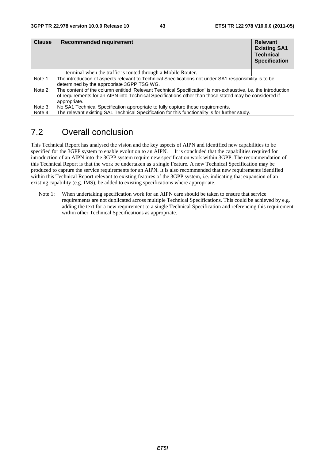| <b>Clause</b> | Recommended requirement                                                                                                                                                                                                                  | <b>Relevant</b><br><b>Existing SA1</b><br><b>Technical</b><br><b>Specification</b> |  |  |  |  |
|---------------|------------------------------------------------------------------------------------------------------------------------------------------------------------------------------------------------------------------------------------------|------------------------------------------------------------------------------------|--|--|--|--|
|               | terminal when the traffic is routed through a Mobile Router.                                                                                                                                                                             |                                                                                    |  |  |  |  |
| Note 1:       | The introduction of aspects relevant to Technical Specifications not under SA1 responsibility is to be<br>determined by the appropriate 3GPP TSG WG.                                                                                     |                                                                                    |  |  |  |  |
| Note 2:       | The content of the column entitled 'Relevant Technical Specification' is non-exhaustive, i.e. the introduction<br>of requirements for an AIPN into Technical Specifications other than those stated may be considered if<br>appropriate. |                                                                                    |  |  |  |  |
| Note 3:       | No SA1 Technical Specification appropriate to fully capture these requirements.                                                                                                                                                          |                                                                                    |  |  |  |  |
| Note 4:       | The relevant existing SA1 Technical Specification for this functionality is for further study.                                                                                                                                           |                                                                                    |  |  |  |  |

## 7.2 Overall conclusion

This Technical Report has analysed the vision and the key aspects of AIPN and identified new capabilities to be specified for the 3GPP system to enable evolution to an AIPN. It is concluded that the capabilities required for introduction of an AIPN into the 3GPP system require new specification work within 3GPP. The recommendation of this Technical Report is that the work be undertaken as a single Feature. A new Technical Specification may be produced to capture the service requirements for an AIPN. It is also recommended that new requirements identified within this Technical Report relevant to existing features of the 3GPP system, i.e. indicating that expansion of an existing capability (e.g. IMS), be added to existing specifications where appropriate.

Note 1: When undertaking specification work for an AIPN care should be taken to ensure that service requirements are not duplicated across multiple Technical Specifications. This could be achieved by e.g. adding the text for a new requirement to a single Technical Specification and referencing this requirement within other Technical Specifications as appropriate.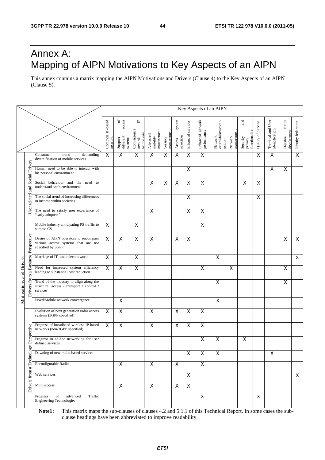## Annex A: Mapping of AIPN Motivations to Key Aspects of an AIPN

This annex contains a matrix mapping the AIPN Motivations and Drivers (Clause 4) to the Key Aspects of an AIPN (Clause 5).

|                   |                                                                               |                                                                                                   |                            |                                                         |                                           |                                   |                       |                               |                           |                                 | Key Aspects of an AIPN                   |                       |                                             |                    |                                     |                                   |                         |
|-------------------|-------------------------------------------------------------------------------|---------------------------------------------------------------------------------------------------|----------------------------|---------------------------------------------------------|-------------------------------------------|-----------------------------------|-----------------------|-------------------------------|---------------------------|---------------------------------|------------------------------------------|-----------------------|---------------------------------------------|--------------------|-------------------------------------|-----------------------------------|-------------------------|
|                   |                                                                               |                                                                                                   | Common IP-based<br>network | access<br>$\rm ^{6}$<br>different<br>Support<br>systems | ٩<br>Convergence<br>towards<br>technology | managemen<br>Advanced<br>mobility | management<br>Session | system<br>selection<br>Access | Enhanced services         | Enhanced network<br>performance | Network<br>extensibility/comp<br>osition | management<br>Network | and<br>functionality<br>Security<br>privacy | Quality of Service | Terminal and User<br>identification | future<br>development<br>Flexible | Identity federation     |
|                   |                                                                               | Consumer<br>demanding<br>trend<br>diversification of mobile services                              | $\boldsymbol{\mathsf{X}}$  | $\mathsf X$                                             | $\mathsf X$                               | $\overline{\mathsf{x}}$           | X                     | $\mathsf X$                   | X                         | $\overline{\mathsf{x}}$         |                                          |                       |                                             | X                  | X                                   |                                   | $\overline{\mathsf{x}}$ |
|                   | <b>Social Drivers</b>                                                         | Human need to be able to interact with<br>his personal environment                                |                            |                                                         |                                           |                                   |                       |                               | X                         |                                 |                                          |                       |                                             |                    | X                                   | X                                 |                         |
|                   | <b>Rue</b>                                                                    | Social behaviour and the<br>need to<br>understand one's environment                               |                            |                                                         |                                           | $\mathsf X$                       | X                     | $\mathsf X$                   | $\pmb{\times}$            | X                               |                                          |                       | X                                           | X                  |                                     |                                   |                         |
|                   | related                                                                       | The social trend of increasing differences<br>in income within societies                          |                            |                                                         |                                           |                                   |                       |                               | $\boldsymbol{\mathsf{X}}$ |                                 |                                          |                       |                                             | X                  |                                     |                                   |                         |
|                   | User                                                                          | The need to satisfy user experience of<br>"early-adopters"                                        |                            |                                                         |                                           | X                                 |                       |                               | X                         | $\pmb{\times}$                  |                                          |                       |                                             |                    |                                     |                                   |                         |
|                   |                                                                               | Mobile industry anticipating PS traffic to<br>surpass CS                                          | X                          |                                                         | X                                         |                                   |                       |                               |                           | X                               |                                          |                       |                                             |                    |                                     |                                   |                         |
|                   | <b>Business Perspective</b>                                                   | Desire of AIPN operators to encompass<br>various access systems that are not<br>specified by 3GPP | $\overline{\mathsf{x}}$    | $\overline{\mathsf{x}}$                                 | $\overline{\mathsf{x}}$                   | X                                 |                       | X                             | $\mathsf{X}$              |                                 |                                          |                       |                                             |                    |                                     | X                                 | $\overline{X}$          |
|                   |                                                                               | Marriage of IT- and telecom world                                                                 | $\overline{\mathsf{x}}$    |                                                         | $\overline{\mathsf{x}}$                   |                                   |                       |                               |                           |                                 | X                                        |                       |                                             |                    |                                     |                                   | $\overline{X}$          |
| $\mathbf{\sigma}$ | Need for increased system efficiency<br>leading to substantial cost reduction | $\overline{\mathsf{x}}$                                                                           | $\overline{\mathsf{x}}$    | $\overline{X}$                                          |                                           |                                   |                       |                               | $\overline{\mathsf{x}}$   |                                 | $\overline{\mathsf{x}}$                  |                       |                                             |                    | X                                   |                                   |                         |
|                   | <b>Motivations and Drivers</b><br>from<br>vers                                | Trend of the industry to align along the<br>structure: access / transport / control /<br>services |                            |                                                         |                                           |                                   |                       |                               |                           |                                 | $\boldsymbol{\mathsf{X}}$                |                       |                                             |                    |                                     | X                                 |                         |
|                   |                                                                               | Fixed/Mobile network convergence                                                                  |                            | $\overline{\mathsf{x}}$                                 |                                           |                                   |                       |                               |                           |                                 | $\pmb{\times}$                           |                       |                                             |                    |                                     |                                   |                         |
|                   |                                                                               | Evolution of next generation radio access<br>systems (3GPP specified)                             | $\boldsymbol{\mathsf{X}}$  | X                                                       |                                           | $\mathsf X$                       |                       | $\mathsf X$                   | $\boldsymbol{\mathsf{X}}$ | $\boldsymbol{\mathsf{X}}$       |                                          |                       |                                             |                    |                                     |                                   |                         |
|                   |                                                                               | Progress of broadband wireless IP-based<br>networks (non-3GPP specified)                          | X                          | $\pmb{\times}$                                          |                                           | $\pmb{\times}$                    |                       | X                             | $\pmb{\times}$            | $\pmb{\times}$                  |                                          |                       |                                             |                    |                                     |                                   |                         |
|                   | gy Perspective                                                                | Progress in ad-hoc networking for user<br>defined services.                                       |                            |                                                         |                                           |                                   |                       |                               |                           | $\pmb{\times}$                  | $\pmb{\times}$                           |                       | X                                           |                    |                                     |                                   |                         |
|                   |                                                                               | Dawning of new, radio based services                                                              |                            |                                                         |                                           |                                   |                       |                               | X                         | X                               | X                                        |                       |                                             |                    | X                                   |                                   |                         |
| Technol           | Reconfigurable Radio                                                          |                                                                                                   | $\pmb{\mathsf{X}}$         |                                                         | $\mathsf{X}$                              |                                   | $\mathsf{X}$          |                               | $\mathsf{X}$              |                                 |                                          |                       |                                             |                    |                                     |                                   |                         |
| from              |                                                                               | Web services                                                                                      |                            |                                                         |                                           |                                   |                       |                               | $\boldsymbol{\mathsf{X}}$ |                                 |                                          |                       |                                             |                    |                                     |                                   | X                       |
|                   | Drivers                                                                       | Multi-access                                                                                      |                            | $\overline{X}$                                          |                                           | $\overline{\mathsf{x}}$           |                       | $\pmb{\times}$                | $\mathsf{X}$              |                                 |                                          |                       |                                             |                    |                                     |                                   |                         |
|                   |                                                                               | Progress<br>of<br>advanced<br>Traffic<br><b>Engineering Technologies</b>                          |                            |                                                         |                                           |                                   |                       |                               |                           | X                               |                                          |                       |                                             | $\mathsf{X}$       |                                     |                                   |                         |

**Note1:** This matrix maps the sub-clauses of clauses 4.2 and 5.1.1 of this Technical Report. In some cases the subclause headings have been abbreviated to improve readability.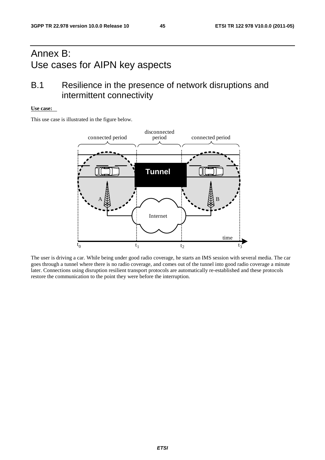## Annex B: Use cases for AIPN key aspects

## B.1 Resilience in the presence of network disruptions and intermittent connectivity

### **Use case:**

This use case is illustrated in the figure below.



The user is driving a car. While being under good radio coverage, he starts an IMS session with several media. The car goes through a tunnel where there is no radio coverage, and comes out of the tunnel into good radio coverage a minute later. Connections using disruption resilient transport protocols are automatically re-established and these protocols restore the communication to the point they were before the interruption.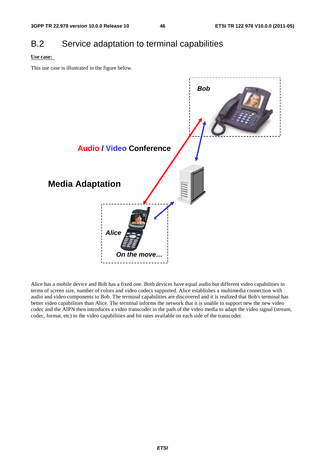## B.2 Service adaptation to terminal capabilities

### **Use case:**

This use case is illustrated in the figure below.



Alice has a mobile device and Bob has a fixed one. Both devices have equal audio but different video capabilities in terms of screen size, number of colors and video codecs supported. Alice establishes a multimedia connection with audio and video components to Bob. The terminal capabilities are discovered and it is realized that Bob's terminal has better video capabilities than Alice. The terminal informs the network that it is unable to support new the new video codec and the AIPN then introduces a video transcoder in the path of the video media to adapt the video signal (stream, codec, format, etc) to the video capabilities and bit rates available on each side of the transcoder.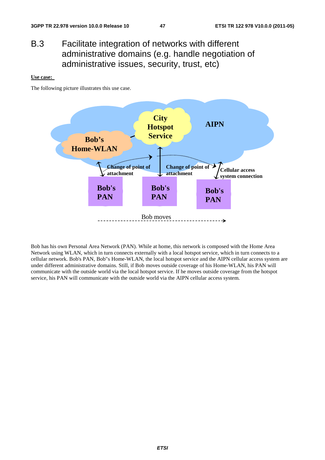## B.3 Facilitate integration of networks with different administrative domains (e.g. handle negotiation of administrative issues, security, trust, etc)

#### **Use case:**

The following picture illustrates this use case.



Bob has his own Personal Area Network (PAN). While at home, this network is composed with the Home Area Network using WLAN, which in turn connects externally with a local hotspot service, which in turn connects to a cellular network. Bob's PAN, Bob"s Home-WLAN, the local hotspot service and the AIPN cellular access system are under different administrative domains. Still, if Bob moves outside coverage of his Home-WLAN, his PAN will communicate with the outside world via the local hotspot service. If he moves outside coverage from the hotspot service, his PAN will communicate with the outside world via the AIPN cellular access system.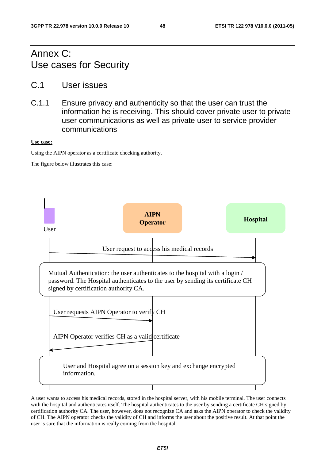## Annex C: Use cases for Security

- C.1 User issues
- C.1.1 Ensure privacy and authenticity so that the user can trust the information he is receiving. This should cover private user to private user communications as well as private user to service provider communications

### **Use case:**

Using the AIPN operator as a certificate checking authority.

The figure below illustrates this case:



A user wants to access his medical records, stored in the hospital server, with his mobile terminal. The user connects with the hospital and authenticates itself. The hospital authenticates to the user by sending a certificate CH signed by certification authority CA. The user, however, does not recognize CA and asks the AIPN operator to check the validity of CH. The AIPN operator checks the validity of CH and informs the user about the positive result. At that point the user is sure that the information is really coming from the hospital.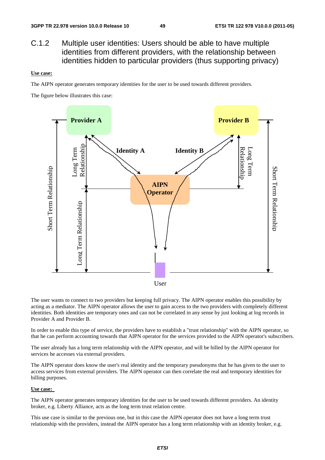C.1.2 Multiple user identities: Users should be able to have multiple identities from different providers, with the relationship between identities hidden to particular providers (thus supporting privacy)

#### **Use case:**

The AIPN operator generates temporary identities for the user to be used towards different providers.

The figure below illustrates this case:



The user wants to connect to two providers but keeping full privacy. The AIPN operator enables this possibility by acting as a mediator. The AIPN operator allows the user to gain access to the two providers with completely different identities. Both identities are temporary ones and can not be correlated in any sense by just looking at log records in Provider A and Provider B.

In order to enable this type of service, the providers have to establish a "trust relationship" with the AIPN operator, so that he can perform accounting towards that AIPN operator for the services provided to the AIPN operator's subscribers.

The user already has a long term relationship with the AIPN operator, and will be billed by the AIPN operator for services he accesses via external providers.

The AIPN operator does know the user's real identity and the temporary pseudonyms that he has given to the user to access services from external providers. The AIPN operator can then correlate the real and temporary identities for billing purposes.

#### **Use case:**

The AIPN operator generates temporary identities for the user to be used towards different providers. An identity broker, e.g. Liberty Alliance, acts as the long term trust relation centre.

This use case is similar to the previous one, but in this case the AIPN operator does not have a long term trust relationship with the providers, instead the AIPN operator has a long term relationship with an identity broker, e.g.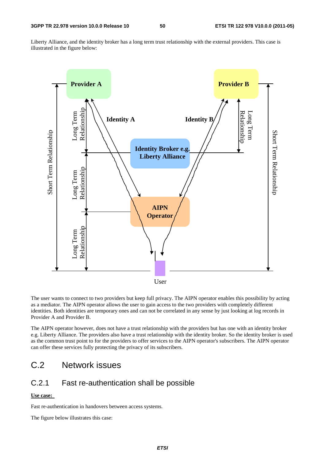Liberty Alliance, and the identity broker has a long term trust relationship with the external providers. This case is illustrated in the figure below:



The user wants to connect to two providers but keep full privacy. The AIPN operator enables this possibility by acting as a mediator. The AIPN operator allows the user to gain access to the two providers with completely different identities. Both identities are temporary ones and can not be correlated in any sense by just looking at log records in Provider A and Provider B.

The AIPN operator however, does not have a trust relationship with the providers but has one with an identity broker e.g. Liberty Alliance. The providers also have a trust relationship with the identity broker. So the identity broker is used as the common trust point to for the providers to offer services to the AIPN operator's subscribers. The AIPN operator can offer these services fully protecting the privacy of its subscribers.

## C.2 Network issues

### C.2.1 Fast re-authentication shall be possible

#### **Use case:**

Fast re-authentication in handovers between access systems.

The figure below illustrates this case: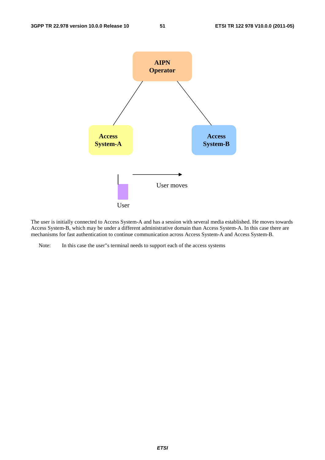

The user is initially connected to Access System-A and has a session with several media established. He moves towards Access System-B, which may be under a different administrative domain than Access System-A. In this case there are mechanisms for fast authentication to continue communication across Access System-A and Access System-B.

Note: In this case the user"s terminal needs to support each of the access systems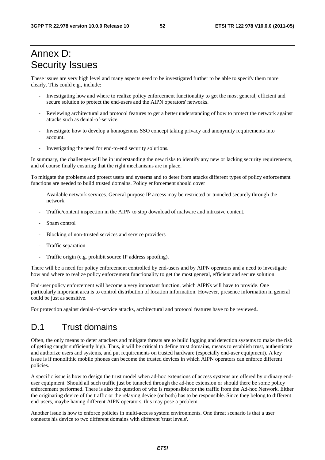## Annex D: Security Issues

These issues are very high level and many aspects need to be investigated further to be able to specify them more clearly. This could e.g., include:

- Investigating how and where to realize policy enforcement functionality to get the most general, efficient and secure solution to protect the end-users and the AIPN operators' networks.
- Reviewing architectural and protocol features to get a better understanding of how to protect the network against attacks such as denial-of-service.
- Investigate how to develop a homogenous SSO concept taking privacy and anonymity requirements into account.
- Investigating the need for end-to-end security solutions.

In summary, the challenges will be in understanding the new risks to identify any new or lacking security requirements, and of course finally ensuring that the right mechanisms are in place.

To mitigate the problems and protect users and systems and to deter from attacks different types of policy enforcement functions are needed to build trusted domains. Policy enforcement should cover

- Available network services. General purpose IP access may be restricted or tunneled securely through the network.
- Traffic/content inspection in the AIPN to stop download of malware and intrusive content.
- Spam control
- Blocking of non-trusted services and service providers
- Traffic separation
- Traffic origin (e.g. prohibit source IP address spoofing).

There will be a need for policy enforcement controlled by end-users and by AIPN operators and a need to investigate how and where to realize policy enforcement functionality to get the most general, efficient and secure solution.

End-user policy enforcement will become a very important function, which AIPNs will have to provide. One particularly important area is to control distribution of location information. However, presence information in general could be just as sensitive.

For protection against denial-of-service attacks, architectural and protocol features have to be reviewed**.** 

### D.1 Trust domains

Often, the only means to deter attackers and mitigate threats are to build logging and detection systems to make the risk of getting caught sufficiently high. Thus, it will be critical to define trust domains, means to establish trust, authenticate and authorize users and systems, and put requirements on trusted hardware (especially end-user equipment). A key issue is if monolithic mobile phones can become the trusted devices in which AIPN operators can enforce different policies.

A specific issue is how to design the trust model when ad-hoc extensions of access systems are offered by ordinary enduser equipment. Should all such traffic just be tunneled through the ad-hoc extension or should there be some policy enforcement performed. There is also the question of who is responsible for the traffic from the Ad-hoc Network. Either the originating device of the traffic or the relaying device (or both) has to be responsible. Since they belong to different end-users, maybe having different AIPN operators, this may pose a problem.

Another issue is how to enforce policies in multi-access system environments. One threat scenario is that a user connects his device to two different domains with different 'trust levels'.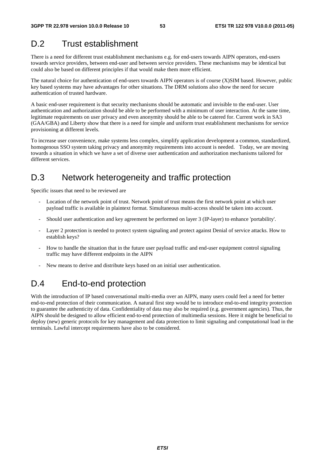## D.2 Trust establishment

There is a need for different trust establishment mechanisms e.g. for end-users towards AIPN operators, end-users towards service providers, between end-user and between service providers. These mechanisms may be identical but could also be based on different principles if that would make them more efficient.

The natural choice for authentication of end-users towards AIPN operators is of course (X)SIM based. However, public key based systems may have advantages for other situations. The DRM solutions also show the need for secure authentication of trusted hardware.

A basic end-user requirement is that security mechanisms should be automatic and invisible to the end-user. User authentication and authorization should be able to be performed with a minimum of user interaction. At the same time, legitimate requirements on user privacy and even anonymity should be able to be catered for. Current work in SA3 (GAA/GBA) and Liberty show that there is a need for simple and uniform trust establishment mechanisms for service provisioning at different levels.

To increase user convenience, make systems less complex, simplify application development a common, standardized, homogenous SSO system taking privacy and anonymity requirements into account is needed. Today, we are moving towards a situation in which we have a set of diverse user authentication and authorization mechanisms tailored for different services.

## D.3 Network heterogeneity and traffic protection

Specific issues that need to be reviewed are

- Location of the network point of trust. Network point of trust means the first network point at which user payload traffic is available in plaintext format. Simultaneous multi-access should be taken into account.
- Should user authentication and key agreement be performed on layer 3 (IP-layer) to enhance 'portability'.
- Layer 2 protection is needed to protect system signaling and protect against Denial of service attacks. How to establish keys?
- How to handle the situation that in the future user payload traffic and end-user equipment control signaling traffic may have different endpoints in the AIPN
- New means to derive and distribute keys based on an initial user authentication.

## D.4 End-to-end protection

With the introduction of IP based conversational multi-media over an AIPN, many users could feel a need for better end-to-end protection of their communication. A natural first step would be to introduce end-to-end integrity protection to guarantee the authenticity of data. Confidentiality of data may also be required (e.g. government agencies). Thus, the AIPN should be designed to allow efficient end-to-end protection of multimedia sessions. Here it might be beneficial to deploy (new) generic protocols for key management and data protection to limit signaling and computational load in the terminals. Lawful intercept requirements have also to be considered.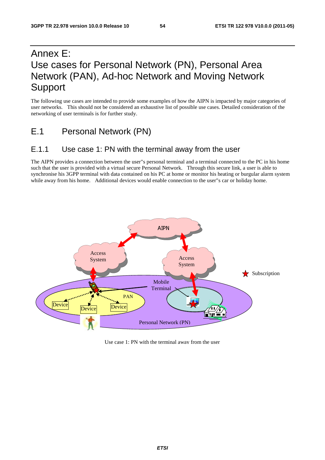## Annex E: Use cases for Personal Network (PN), Personal Area Network (PAN), Ad-hoc Network and Moving Network Support

The following use cases are intended to provide some examples of how the AIPN is impacted by major categories of user networks. This should not be considered an exhaustive list of possible use cases. Detailed consideration of the networking of user terminals is for further study.

E.1 Personal Network (PN)

### E.1.1 Use case 1: PN with the terminal away from the user

The AIPN provides a connection between the user"s personal terminal and a terminal connected to the PC in his home such that the user is provided with a virtual secure Personal Network. Through this secure link, a user is able to synchronise his 3GPP terminal with data contained on his PC at home or monitor his heating or burgular alarm system while away from his home. Additional devices would enable connection to the user"s car or holiday home.



Use case 1: PN with the terminal away from the user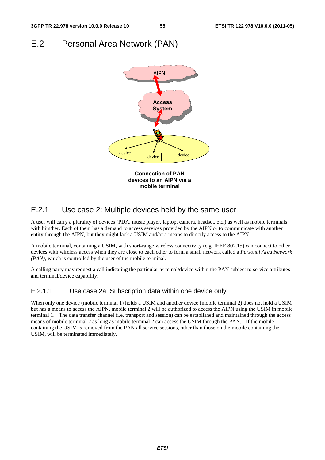### E.2 Personal Area Network (PAN)



### E.2.1 Use case 2: Multiple devices held by the same user

A user will carry a plurality of devices (PDA, music player, laptop, camera, headset, etc.) as well as mobile terminals with him/her. Each of them has a demand to access services provided by the AIPN or to communicate with another entity through the AIPN, but they might lack a USIM and/or a means to directly access to the AIPN.

A mobile terminal, containing a USIM, with short-range wireless connectivity (e.g. IEEE 802.15) can connect to other devices with wireless access when they are close to each other to form a small network called a *Personal Area Network (PAN),* which is controlled by the user of the mobile terminal.

A calling party may request a call indicating the particular terminal/device within the PAN subject to service attributes and terminal/device capability.

### E.2.1.1 Use case 2a: Subscription data within one device only

When only one device (mobile terminal 1) holds a USIM and another device (mobile terminal 2) does not hold a USIM but has a means to access the AIPN, mobile terminal 2 will be authorized to access the AIPN using the USIM in mobile terminal 1. The data transfer channel (i.e. transport and session) can be established and maintained through the access means of mobile terminal 2 as long as mobile terminal 2 can access the USIM through the PAN. If the mobile containing the USIM is removed from the PAN all service sessions, other than those on the mobile containing the USIM, will be terminated immediately.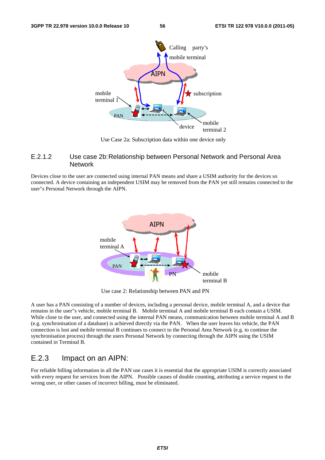

Use Case 2a: Subscription data within one device only

### E.2.1.2 Use case 2b: Relationship between Personal Network and Personal Area **Network**

Devices close to the user are connected using internal PAN means and share a USIM authority for the devices so connected. A device containing an independent USIM may be removed from the PAN yet still remains connected to the user"s Personal Network through the AIPN.



Use case 2: Relationship between PAN and PN

A user has a PAN consisting of a number of devices, including a personal device, mobile terminal A, and a device that remains in the user"s vehicle, mobile terminal B. Mobile terminal A and mobile terminal B each contain a USIM. While close to the user, and connected using the internal PAN means, communication between mobile terminal A and B (e.g. synchronisation of a database) is achieved directly via the PAN. When the user leaves his vehicle, the PAN connection is lost and mobile terminal B continues to connect to the Personal Area Network (e.g. to continue the synchronisation process) through the users Personal Network by connecting through the AIPN using the USIM contained in Terminal B.

### E.2.3 Impact on an AIPN:

For reliable billing information in all the PAN use cases it is essential that the appropriate USIM is correctly associated with every request for services from the AIPN. Possible causes of double counting, attributing a service request to the wrong user, or other causes of incorrect billing, must be eliminated.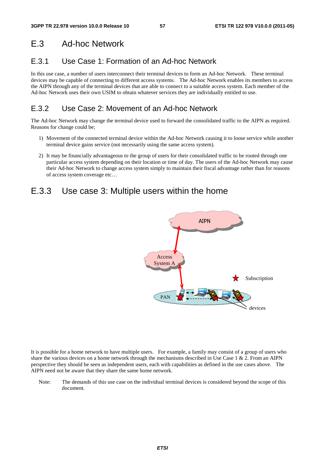## E.3 Ad-hoc Network

## E.3.1 Use Case 1: Formation of an Ad-hoc Network

In this use case, a number of users interconnect their terminal devices to form an Ad-hoc Network. These terminal devices may be capable of connecting to different access systems. The Ad-hoc Network enables its members to access the AIPN through any of the terminal devices that are able to connect to a suitable access system. Each member of the Ad-hoc Network uses their own USIM to obtain whatever services they are individually entitled to use.

## E.3.2 Use Case 2: Movement of an Ad-hoc Network

The Ad-hoc Network may change the terminal device used to forward the consolidated traffic to the AIPN as required. Reasons for change could be;

- 1) Movement of the connected terminal device within the Ad-hoc Network causing it to loose service while another terminal device gains service (not necessarily using the same access system).
- 2) It may be financially advantageous to the group of users for their consolidated traffic to be routed through one particular access system depending on their location or time of day. The users of the Ad-hoc Network may cause their Ad-hoc Network to change access system simply to maintain their fiscal advantage rather than for reasons of access system coverage etc…

## E.3.3 Use case 3: Multiple users within the home



It is possible for a home network to have multiple users. For example, a family may consist of a group of users who share the various devices on a home network through the mechanisms described in Use Case  $1 \& 2$ . From an AIPN perspective they should be seen as independent users, each with capabilities as defined in the use cases above. The AIPN need not be aware that they share the same home network.

Note: The demands of this use case on the individual terminal devices is considered beyond the scope of this document.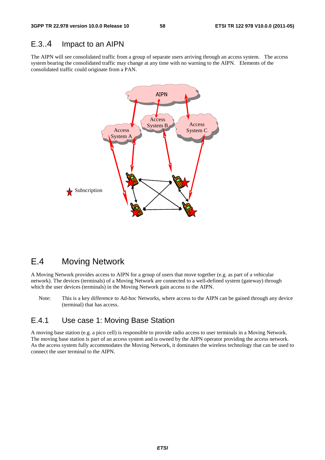### E.3..4 Impact to an AIPN

The AIPN will see consolidated traffic from a group of separate users arriving through an access system. The access system bearing the consolidated traffic may change at any time with no warning to the AIPN. Elements of the consolidated traffic could originate from a PAN.



## E.4 Moving Network

A Moving Network provides access to AIPN for a group of users that move together (e.g. as part of a vehicular network). The devices (terminals) of a Moving Network are connected to a well-defined system (gateway) through which the user devices (terminals) in the Moving Network gain access to the AIPN.

Note: This is a key difference to Ad-hoc Networks, where access to the AIPN can be gained through any device (terminal) that has access.

### E.4.1 Use case 1: Moving Base Station

A moving base station (e.g. a pico cell) is responsible to provide radio access to user terminals in a Moving Network. The moving base station is part of an access system and is owned by the AIPN operator providing the access network. As the access system fully accommodates the Moving Network, it dominates the wireless technology that can be used to connect the user terminal to the AIPN.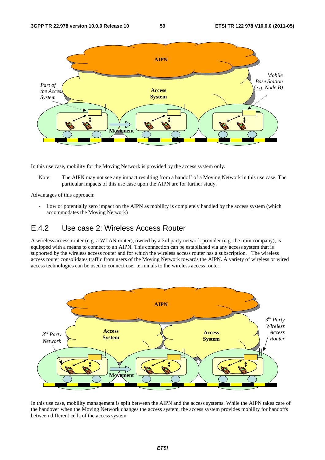

In this use case, mobility for the Moving Network is provided by the access system only.

Note: The AIPN may not see any impact resulting from a handoff of a Moving Network in this use case. The particular impacts of this use case upon the AIPN are for further study.

Advantages of this approach:

- Low or potentially zero impact on the AIPN as mobility is completely handled by the access system (which accommodates the Moving Network)

### E.4.2 Use case 2: Wireless Access Router

A wireless access router (e.g. a WLAN router), owned by a 3rd party network provider (e.g. the train company), is equipped with a means to connect to an AIPN. This connection can be established via any access system that is supported by the wireless access router and for which the wireless access router has a subscription. The wireless access router consolidates traffic from users of the Moving Network towards the AIPN. A variety of wireless or wired access technologies can be used to connect user terminals to the wireless access router.



In this use case, mobility management is split between the AIPN and the access systems. While the AIPN takes care of the handover when the Moving Network changes the access system, the access system provides mobility for handoffs between different cells of the access system.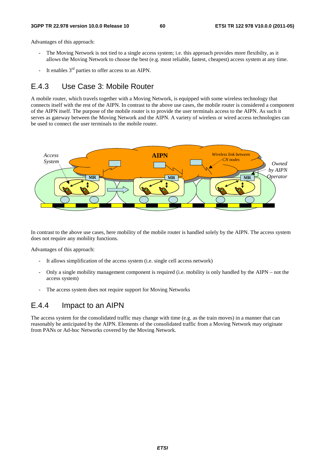Advantages of this approach:

- The Moving Network is not tied to a single access system; i.e. this approach provides more flexibilty, as it allows the Moving Network to choose the best (e.g. most reliable, fastest, cheapest) access system at any time.
- It enables  $3<sup>rd</sup>$  parties to offer access to an AIPN.

### E.4.3 Use Case 3: Mobile Router

A mobile router, which travels together with a Moving Network, is equipped with some wireless technology that connects itself with the rest of the AIPN. In contrast to the above use cases, the mobile router is considered a component of the AIPN itself. The purpose of the mobile router is to provide the user terminals access to the AIPN. As such it serves as gateway between the Moving Network and the AIPN. A variety of wireless or wired access technologies can be used to connect the user terminals to the mobile router.



In contrast to the above use cases, here mobility of the mobile router is handled solely by the AIPN. The access system does not require any mobility functions.

Advantages of this approach:

- It allows simplification of the access system (i.e. single cell access network)
- Only a single mobility management component is required (i.e. mobility is only handled by the AIPN not the access system)
- The access system does not require support for Moving Networks

### E.4.4 Impact to an AIPN

The access system for the consolidated traffic may change with time (e.g. as the train moves) in a manner that can reasonably be anticipated by the AIPN. Elements of the consolidated traffic from a Moving Network may originate from PANs or Ad-hoc Networks covered by the Moving Network.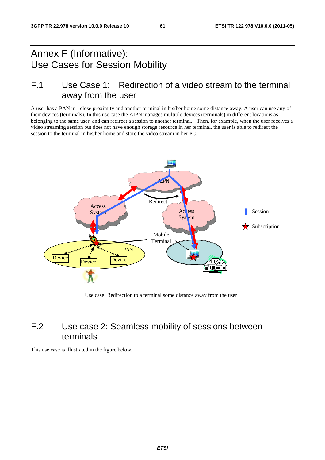## Annex F (Informative): Use Cases for Session Mobility

## F.1 Use Case 1: Redirection of a video stream to the terminal away from the user

A user has a PAN in close proximity and another terminal in his/her home some distance away. A user can use any of their devices (terminals). In this use case the AIPN manages multiple devices (terminals) in different locations as belonging to the same user, and can redirect a session to another terminal. Then, for example, when the user receives a video streaming session but does not have enough storage resource in her terminal, the user is able to redirect the session to the terminal in his/her home and store the video stream in her PC.



Use case: Redirection to a terminal some distance away from the user

## F.2 Use case 2: Seamless mobility of sessions between terminals

This use case is illustrated in the figure below.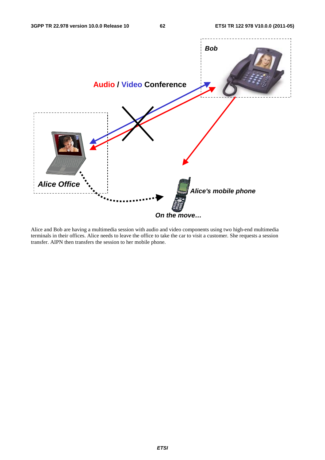

Alice and Bob are having a multimedia session with audio and video components using two high-end multimedia terminals in their offices. Alice needs to leave the office to take the car to visit a customer. She requests a session transfer. AIPN then transfers the session to her mobile phone.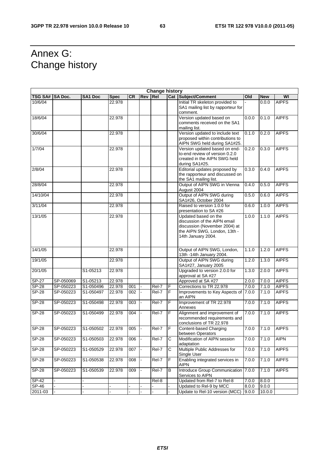## Annex G: Change history

|                | <b>Change history</b> |                         |             |           |            |            |                |                                                                                                                                             |       |            |              |
|----------------|-----------------------|-------------------------|-------------|-----------|------------|------------|----------------|---------------------------------------------------------------------------------------------------------------------------------------------|-------|------------|--------------|
| <b>TSG SA#</b> | <b>SA Doc.</b>        | <b>SA1 Doc</b>          | <b>Spec</b> | <b>CR</b> | <b>Rev</b> | <b>Rel</b> |                | <b>Cat Subject/Comment</b>                                                                                                                  | Old   | <b>New</b> | WI           |
| 10/6/04        |                       |                         | 22.978      |           |            |            |                | Initial TR skeleton provided to<br>SA1 mailing list by rapporteur for                                                                       |       | 0.0.0      | <b>AIPFS</b> |
|                |                       |                         |             |           |            |            |                | comment.                                                                                                                                    |       |            |              |
| 18/6/04        |                       |                         | 22.978      |           |            |            |                | Version updated based on<br>comments received on the SA1<br>mailing list.                                                                   | 0.0.0 | 0.1.0      | <b>AIPFS</b> |
| 30/6/04        |                       |                         | 22.978      |           |            |            |                | Version updated to include text<br>proposed within contributions to<br>AIPN SWG held during SA1#25.                                         | 0.1.0 | 0.2.0      | <b>AIPFS</b> |
| 1/7/04         |                       |                         | 22.978      |           |            |            |                | Version updated based on end-<br>to-end review of version 0.2.0<br>created in the AIPN SWG held<br>during SA1#25.                           | 0.2.0 | 0.3.0      | <b>AIPFS</b> |
| 2/8/04         |                       |                         | 22.978      |           |            |            |                | Editorial updates proposed by<br>the rapporteur and discussed on<br>the SA1 mailing list.                                                   | 0.3.0 | 0.4.0      | <b>AIPFS</b> |
| 28/8/04        |                       |                         | 22.978      |           |            |            |                | Output of AIPN SWG in Vienna<br>August 2004                                                                                                 | 0.4.0 | 0.5.0      | <b>AIPFS</b> |
| 14/10/04       |                       |                         | 22.978      |           |            |            |                | Output of AIPN SWG during<br>SA1#26, October 2004                                                                                           | 0.5.0 | 0.6.0      | <b>AIPFS</b> |
| 3/11/04        |                       |                         | 22.978      |           |            |            |                | Raised to version 1.0.0 for<br>presentation to SA #26                                                                                       | 0.6.0 | 1.0.0      | <b>AIPFS</b> |
| 13/1/05        |                       |                         | 22.978      |           |            |            |                | Updated based on the<br>discussion of the AIPN email<br>discussion (November 2004) at<br>the AIPN SWG, London, 13th -<br>14th January 2004. | 1.0.0 | 1.1.0      | <b>AIPFS</b> |
| 14/1/05        |                       |                         | 22.978      |           |            |            |                | Output of AIPN SWG, London,<br>13th -14th January 2004.                                                                                     | 1.1.0 | 1.2.0      | <b>AIPFS</b> |
| 19/1/05        |                       |                         | 22.978      |           |            |            |                | Output of AIPN SWG during<br>SA1#27, January 2005                                                                                           | 1.2.0 | 1.3.0      | <b>AIPFS</b> |
| 20/1/05        |                       | S1-05213                | 22.978      |           |            |            |                | Upgraded to version 2.0.0 for<br>approval at SA #27                                                                                         | 1.3.0 | 2.0.0      | <b>AIPFS</b> |
| $SP-27$        | SP-050069             | S1-05213                | 22.978      |           |            |            |                | Approved at SA #27                                                                                                                          | 2.0.0 | 7.0.0      | <b>AIPFS</b> |
| $S P - 28$     | SP-050223             | S1-050496               | 22.978      | 001       |            | Rel-7      | F              | Corrections to TR 22.978                                                                                                                    | 7.0.0 | 7.1.0      | <b>AIPFS</b> |
| <b>SP-28</b>   | SP-050223             | S1-050497               | 22.978      | 002       |            | Rel-7      | $\overline{F}$ | Improvements to Key Aspects of<br>an AIPN                                                                                                   | 7.0.0 | 7.1.0      | <b>AIPFS</b> |
| $S P - 28$     | SP-050223             | S1-050498               | 22.978      | 003       |            | Rel-7      | F              | Improvement of TR 22.978<br>Annexes                                                                                                         | 7.0.0 | 7.1.0      | <b>AIPFS</b> |
| <b>SP-28</b>   | SP-050223             | S1-050499               | 22.978      | 004       |            | Rel-7      | F              | Alignment and improvement of<br>recommended requirements and<br>conclusions of TR 22.978                                                    | 7.0.0 | 7.1.0      | <b>AIPFS</b> |
| <b>SP-28</b>   | SP-050223             | S1-050502               | 22.978      | 005       |            | Rel-7      | F              | Content-based Charging<br>between Operators                                                                                                 | 7.0.0 | 7.1.0      | <b>AIPFS</b> |
| $SP-28$        | SP-050223             | S1-050503               | 22.978      | 006       |            | Rel-7      | $\mathsf{C}$   | Modification of AIPN session<br>adaptation                                                                                                  | 7.0.0 | 7.1.0      | <b>AIPN</b>  |
| $SP-28$        | SP-050223             | S1-050529               | 22.978      | 007       |            | Rel-7      | С              | Multiple Public Addresses for<br>Single User                                                                                                | 7.0.0 | 7.1.0      | <b>AIPFS</b> |
| $SP-28$        | SP-050223             | S1-050538               | 22.978      | 008       |            | Rel-7      | F              | Enabling integrated services in<br><b>AIPN</b>                                                                                              | 7.0.0 | 7.1.0      | <b>AIPFS</b> |
| SP-28          | SP-050223             | $\overline{S1}$ -050539 | 22.978      | 009       |            | Rel-7      | B              | Introduce Group Communication<br>Services to AIPN                                                                                           | 7.0.0 | 7.1.0      | <b>AIPFS</b> |
| SP-42          |                       |                         |             |           |            | Rel-8      |                | Updated from Rel-7 to Rel-8                                                                                                                 | 7.0.0 | 8.0.0      |              |
| SP-46          |                       |                         |             |           |            |            |                | Updated to Rel-9 by MCC                                                                                                                     | 8.0.0 | 9.0.0      |              |
| 2011-03        |                       |                         |             |           |            |            |                | Update to Rel-10 version (MCC)                                                                                                              | 9.0.0 | 10.0.0     |              |